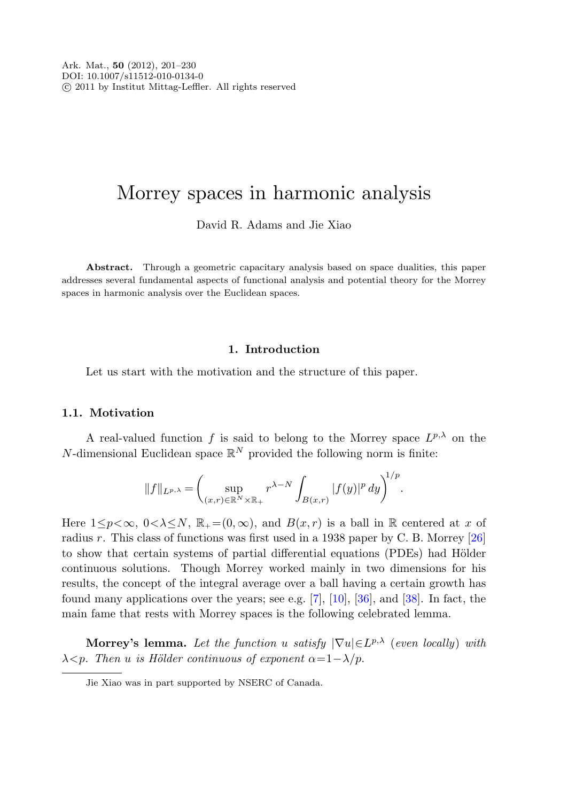# Morrey spaces in harmonic analysis

David R. Adams and Jie Xiao

<span id="page-0-0"></span>Abstract. Through a geometric capacitary analysis based on space dualities, this paper addresses several fundamental aspects of functional analysis and potential theory for the Morrey spaces in harmonic analysis over the Euclidean spaces.

### **1. Introduction**

Let us start with the motivation and the structure of this paper.

#### **1.1. Motivation**

A real-valued function f is said to belong to the Morrey space  $L^{p,\lambda}$  on the N-dimensional Euclidean space  $\mathbb{R}^N$  provided the following norm is finite:

$$
||f||_{L^{p,\lambda}} = \left(\sup_{(x,r)\in \mathbb{R}^N \times \mathbb{R}_+} r^{\lambda-N} \int_{B(x,r)} |f(y)|^p \, dy\right)^{1/p}.
$$

Here  $1 \leq p < \infty$ ,  $0 < \lambda \leq N$ ,  $\mathbb{R}_{+} = (0, \infty)$ , and  $B(x, r)$  is a ball in R centered at x of radius r. This class of functions was first used in a 1938 paper by C. B. Morrey [[26\]](#page-29-0) to show that certain systems of partial differential equations (PDEs) had Hölder continuous solutions. Though Morrey worked mainly in two dimensions for his results, the concept of the integral average over a ball having a certain growth has found many applications over the years; see e.g.  $[7]$  $[7]$ ,  $[10]$  $[10]$ ,  $[36]$  $[36]$ , and  $[38]$  $[38]$ . In fact, the main fame that rests with Morrey spaces is the following celebrated lemma.

**Morrey's lemma.** Let the function u satisfy  $|\nabla u| \in L^{p,\lambda}$  (even locally) with  $\lambda$ <p. Then u is Hölder continuous of exponent  $\alpha = 1-\lambda/p$ .

Jie Xiao was in part supported by NSERC of Canada.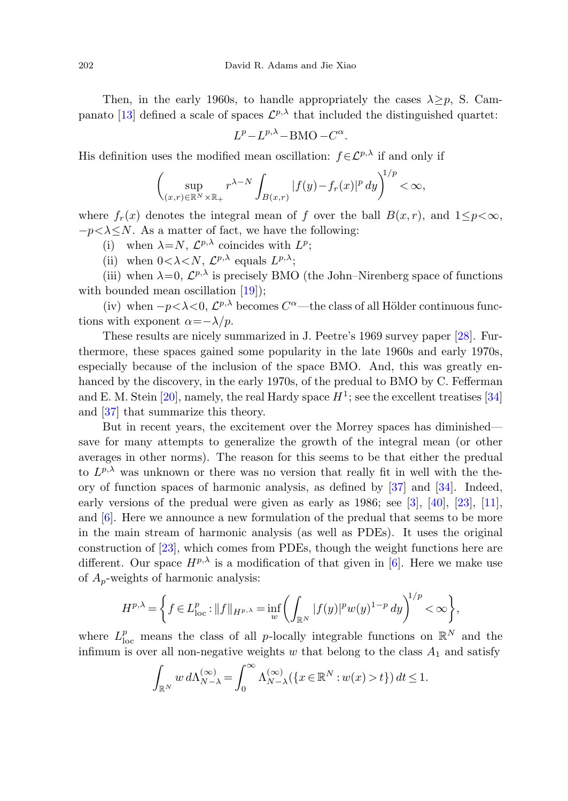Then, in the early 1960s, to handle appropriately the cases  $\lambda > p$ , S. Cam-panato [[13\]](#page-28-2) defined a scale of spaces  $\mathcal{L}^{p,\lambda}$  that included the distinguished quartet:

$$
L^p - L^{p,\lambda} - \text{BMO} - C^{\alpha}.
$$

His definition uses the modified mean oscillation:  $f \in \mathcal{L}^{p,\lambda}$  if and only if

$$
\left(\sup_{(x,r)\in\mathbb{R}^N\times\mathbb{R}_+}r^{\lambda-N}\int_{B(x,r)}|f(y)-f_r(x)|^p\,dy\right)^{1/p}<\infty,
$$

where  $f_r(x)$  denotes the integral mean of f over the ball  $B(x, r)$ , and  $1 \leq p \leq \infty$ ,  $-p\lt\lambda\lt N$ . As a matter of fact, we have the following:

- (i) when  $\lambda = N$ ,  $\mathcal{L}^{p,\lambda}$  coincides with  $L^p$ ;
- (ii) when  $0 < \lambda < N$ ,  $\mathcal{L}^{p,\lambda}$  equals  $L^{p,\lambda}$ ;

(iii) when  $\lambda=0$ ,  $\mathcal{L}^{p,\lambda}$  is precisely BMO (the John–Nirenberg space of functions with bounded mean oscillation [\[19](#page-28-3)]);

(iv) when  $-p<\lambda<0$ ,  $\mathcal{L}^{p,\lambda}$  becomes  $C^{\alpha}$ —the class of all Hölder continuous functions with exponent  $\alpha = -\lambda/p$ .

These results are nicely summarized in J. Peetre's 1969 survey paper [\[28](#page-29-3)]. Furthermore, these spaces gained some popularity in the late 1960s and early 1970s, especially because of the inclusion of the space BMO. And, this was greatly enhanced by the discovery, in the early 1970s, of the predual to BMO by C. Fefferman and E. M. Stein [\[20](#page-28-4)], namely, the real Hardy space  $H^1$ ; see the excellent treatises [[34\]](#page-29-4) and [[37\]](#page-29-5) that summarize this theory.

But in recent years, the excitement over the Morrey spaces has diminished save for many attempts to generalize the growth of the integral mean (or other averages in other norms). The reason for this seems to be that either the predual to  $L^{p,\lambda}$  was unknown or there was no version that really fit in well with the theory of function spaces of harmonic analysis, as defined by [\[37](#page-29-5)] and [\[34](#page-29-4)]. Indeed, early versions of the predual were given as early as 1986; see [[3\]](#page-28-5), [[40\]](#page-29-6), [\[23](#page-28-6)], [\[11](#page-28-7)], and [[6](#page-28-8)]. Here we announce a new formulation of the predual that seems to be more in the main stream of harmonic analysis (as well as PDEs). It uses the original construction of [\[23](#page-28-6)], which comes from PDEs, though the weight functions here are different. Our space  $H^{p,\lambda}$  is a modification of that given in [[6](#page-28-8)]. Here we make use of  $A_p$ -weights of harmonic analysis:

$$
H^{p,\lambda} = \left\{ f \in L^p_{\text{loc}} : ||f||_{H^{p,\lambda}} = \inf_w \left( \int_{\mathbb{R}^N} |f(y)|^p w(y)^{1-p} \, dy \right)^{1/p} < \infty \right\},
$$

where  $L_{\text{loc}}^p$  means the class of all *p*-locally integrable functions on  $\mathbb{R}^N$  and the infimum is over all non-negative weights w that belong to the class  $A_1$  and satisfy

$$
\int_{\mathbb{R}^N} w \, d\Lambda_{N-\lambda}^{(\infty)} = \int_0^\infty \Lambda_{N-\lambda}^{(\infty)}(\{x \in \mathbb{R}^N : w(x) > t\}) \, dt \le 1.
$$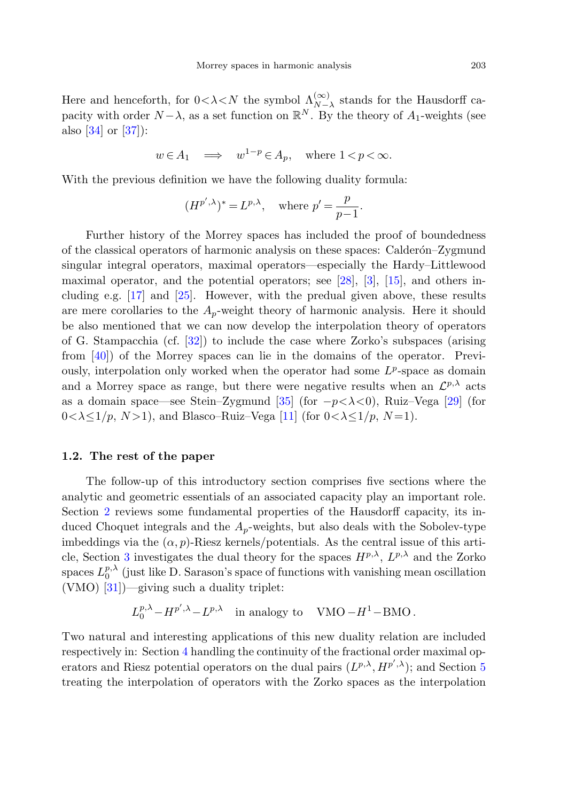Here and henceforth, for  $0 < \lambda < N$  the symbol  $\Lambda_{N-\lambda}^{(\infty)}$  stands for the Hausdorff capacity with order  $N - \lambda$ , as a set function on  $\mathbb{R}^N$ . By the theory of  $A_1$ -weights (see also [\[34](#page-29-4)] or [\[37](#page-29-5)]):

$$
w \in A_1 \implies w^{1-p} \in A_p
$$
, where  $1 < p < \infty$ .

With the previous definition we have the following duality formula:

$$
(H^{p',\lambda})^* = L^{p,\lambda}, \quad \text{where } p' = \frac{p}{p-1}.
$$

Further history of the Morrey spaces has included the proof of boundedness of the classical operators of harmonic analysis on these spaces: Calderon–Zygmund singular integral operators, maximal operators—especially the Hardy–Littlewood maximal operator, and the potential operators; see [[28](#page-29-3)], [\[3](#page-28-5)], [\[15](#page-28-9)], and others including e.g. [[17\]](#page-28-10) and [\[25](#page-29-7)]. However, with the predual given above, these results are mere corollaries to the  $A_p$ -weight theory of harmonic analysis. Here it should be also mentioned that we can now develop the interpolation theory of operators of G. Stampacchia (cf. [\[32](#page-29-8)]) to include the case where Zorko's subspaces (arising from [\[40](#page-29-6)]) of the Morrey spaces can lie in the domains of the operator. Previously, interpolation only worked when the operator had some  $L^p$ -space as domain and a Morrey space as range, but there were negative results when an  $\mathcal{L}^{p,\lambda}$  acts as a domain space—see Stein–Zygmund [[35\]](#page-29-9) (for  $-p<\lambda<0$ ), Ruiz–Vega [[29\]](#page-29-10) (for  $0 < \lambda \leq 1/p$ ,  $N > 1$ ), and Blasco–Ruiz–Vega [[11\]](#page-28-7) (for  $0 < \lambda \leq 1/p$ ,  $N = 1$ ).

#### **1.2. The rest of the paper**

The follow-up of this introductory section comprises five sections where the analytic and geometric essentials of an associated capacity play an important role. Section [2](#page-3-0) reviews some fundamental properties of the Hausdorff capacity, its induced Choquet integrals and the  $A_p$ -weights, but also deals with the Sobolev-type imbeddings via the  $(\alpha, p)$ -Riesz kernels/potentials. As the central issue of this arti-cle, Section [3](#page-9-0) investigates the dual theory for the spaces  $H^{p,\lambda}$ ,  $L^{p,\lambda}$  and the Zorko spaces  $L_0^{p,\lambda}$  (just like D. Sarason's space of functions with vanishing mean oscillation (VMO) [[31\]](#page-29-11))—giving such a duality triplet:

$$
L_0^{p,\lambda} - H^{p',\lambda} - L^{p,\lambda}
$$
 in analogy to VMO $-H^1$ -BMO.

Two natural and interesting applications of this new duality relation are included respectively in: Section [4](#page-12-0) handling the continuity of the fractional order maximal operators and Riesz potential operators on the dual pairs  $(L^{p,\lambda}, H^{p',\lambda});$  and Section [5](#page-18-0) treating the interpolation of operators with the Zorko spaces as the interpolation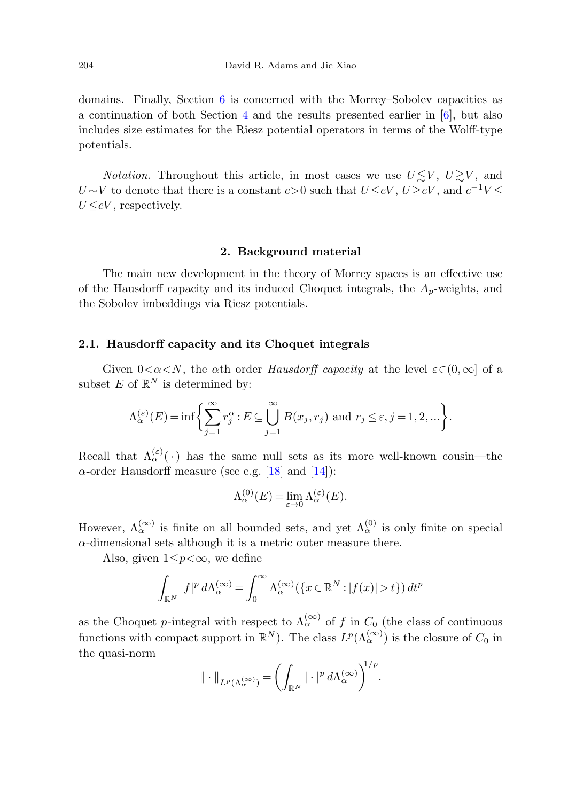domains. Finally, Section [6](#page-22-0) is concerned with the Morrey–Sobolev capacities as a continuation of both Section [4](#page-12-0) and the results presented earlier in [\[6](#page-28-8)], but also includes size estimates for the Riesz potential operators in terms of the Wolff-type potentials.

<span id="page-3-0"></span>*Notation*. Throughout this article, in most cases we use  $U \lesssim V$ ,  $U \gtrsim V$ , and  $U \sim V$  to denote that there is a constant  $c > 0$  such that  $U \leq cV$ ,  $U > cV$ , and  $c^{-1}V \leq$  $U \leq cV$ , respectively.

#### **2. Background material**

The main new development in the theory of Morrey spaces is an effective use of the Hausdorff capacity and its induced Choquet integrals, the  $A_n$ -weights, and the Sobolev imbeddings via Riesz potentials.

#### **2.1. Hausdorff capacity and its Choquet integrals**

Given  $0<\alpha< N$ , the  $\alpha$ th order Hausdorff capacity at the level  $\varepsilon\in (0,\infty]$  of a subset E of  $\mathbb{R}^N$  is determined by:

$$
\Lambda_{\alpha}^{(\varepsilon)}(E) = \inf \bigg\{ \sum_{j=1}^{\infty} r_j^{\alpha} : E \subseteq \bigcup_{j=1}^{\infty} B(x_j, r_j) \text{ and } r_j \le \varepsilon, j = 1, 2, \dots \bigg\}.
$$

Recall that  $\Lambda_{\alpha}^{(\varepsilon)}(\cdot)$  has the same null sets as its more well-known cousin—the  $\alpha$ -order Hausdorff measure (see e.g. [[18\]](#page-28-11) and [\[14](#page-28-12)]):

$$
\Lambda_{\alpha}^{(0)}(E) = \lim_{\varepsilon \to 0} \Lambda_{\alpha}^{(\varepsilon)}(E).
$$

However,  $\Lambda_{\alpha}^{(\infty)}$  is finite on all bounded sets, and yet  $\Lambda_{\alpha}^{(0)}$  is only finite on special  $\alpha$ -dimensional sets although it is a metric outer measure there.

Also, given  $1 \leq p < \infty$ , we define

$$
\int_{\mathbb{R}^N} |f|^p d\Lambda_\alpha^{(\infty)} = \int_0^\infty \Lambda_\alpha^{(\infty)}(\{x \in \mathbb{R}^N : |f(x)| > t\}) dt^p
$$

as the Choquet p-integral with respect to  $\Lambda_{\alpha}^{(\infty)}$  of f in  $C_0$  (the class of continuous functions with compact support in  $\mathbb{R}^N$ ). The class  $L^p(\Lambda_\alpha^{(\infty)})$  is the closure of  $C_0$  in the quasi-norm

$$
\|\cdot\|_{L^p(\Lambda_{\alpha}^{(\infty)})} = \left(\int_{\mathbb{R}^N} |\cdot|^p d\Lambda_{\alpha}^{(\infty)}\right)^{1/p}.
$$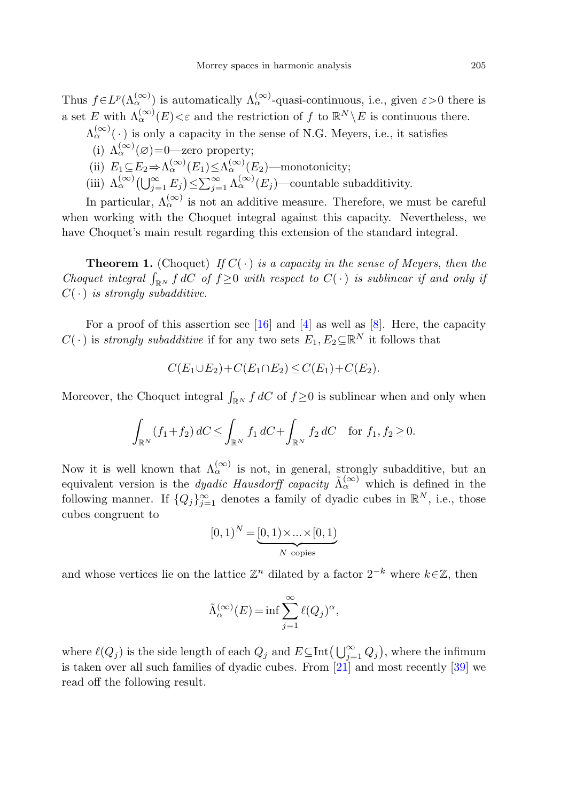Thus  $f\in L^p(\Lambda_{\alpha}^{(\infty)})$  is automatically  $\Lambda_{\alpha}^{(\infty)}$ -quasi-continuous, i.e., given  $\varepsilon>0$  there is a set E with  $\Lambda_{\alpha}^{(\infty)}(E) < \varepsilon$  and the restriction of f to  $\mathbb{R}^N \setminus E$  is continuous there.

- $\Lambda_{\alpha}^{(\infty)}(\,\cdot\,)$  is only a capacity in the sense of N.G. Meyers, i.e., it satisfies
	- (i)  $\Lambda_{\alpha}^{(\infty)}(\varnothing)$  = 0—zero property;
- (ii)  $E_1 \subseteq E_2 \Rightarrow \Lambda_{\alpha}^{(\infty)}(E_1) \leq \Lambda_{\alpha}^{(\infty)}(E_2)$ —monotonicity;
- (iii)  $\Lambda_{\alpha}^{(\infty)}(\bigcup_{j=1}^{\infty} E_j) \leq \sum_{j=1}^{\infty} \Lambda_{\alpha}^{(\infty)}(E_j)$ —countable subadditivity.

In particular,  $\Lambda_{\alpha}^{(\infty)}$  is not an additive measure. Therefore, we must be careful when working with the Choquet integral against this capacity. Nevertheless, we have Choquet's main result regarding this extension of the standard integral.

**Theorem 1.** (Choquet) If  $C(\cdot)$  is a capacity in the sense of Meyers, then the Choquet integral  $\int_{\mathbb{R}^N} f \, dC$  of  $f \geq 0$  with respect to  $C(\cdot)$  is sublinear if and only if  $C(\cdot)$  is strongly subadditive.

For a proof of this assertion see [\[16](#page-28-13)] and [\[4](#page-28-14)] as well as [[8\]](#page-28-15). Here, the capacity  $C(\cdot)$  is *strongly subadditive* if for any two sets  $E_1, E_2 \subseteq \mathbb{R}^N$  it follows that

$$
C(E_1 \cup E_2) + C(E_1 \cap E_2) \le C(E_1) + C(E_2).
$$

Moreover, the Choquet integral  $\int_{\mathbb{R}^N} f dC$  of  $f \geq 0$  is sublinear when and only when

$$
\int_{\mathbb{R}^N} (f_1 + f_2) dC \le \int_{\mathbb{R}^N} f_1 dC + \int_{\mathbb{R}^N} f_2 dC \quad \text{for } f_1, f_2 \ge 0.
$$

Now it is well known that  $\Lambda_{\alpha}^{(\infty)}$  is not, in general, strongly subadditive, but an equivalent version is the dyadic Hausdorff capacity  $\tilde{\Lambda}_{\alpha}^{(\infty)}$  which is defined in the following manner. If  ${Q_j}_{j=1}^{\infty}$  denotes a family of dyadic cubes in  $\mathbb{R}^N$ , i.e., those cubes congruent to

$$
[0,1)^N = \underbrace{[0,1) \times \ldots \times [0,1)}_{N \text{ copies}}
$$

and whose vertices lie on the lattice  $\mathbb{Z}^n$  dilated by a factor  $2^{-k}$  where  $k\in\mathbb{Z}$ , then

$$
\tilde{\Lambda}_{\alpha}^{(\infty)}(E)=\inf \sum_{j=1}^{\infty}\ell(Q_j)^{\alpha},
$$

where  $\ell(Q_j)$  is the side length of each  $Q_j$  and  $E \subseteq \text{Int}(\bigcup_{j=1}^{\infty} Q_j)$ , where the infimum is taken over all such families of dyadic cubes. From  $[21]$  $[21]$  and most recently  $[39]$  $[39]$  we read off the following result.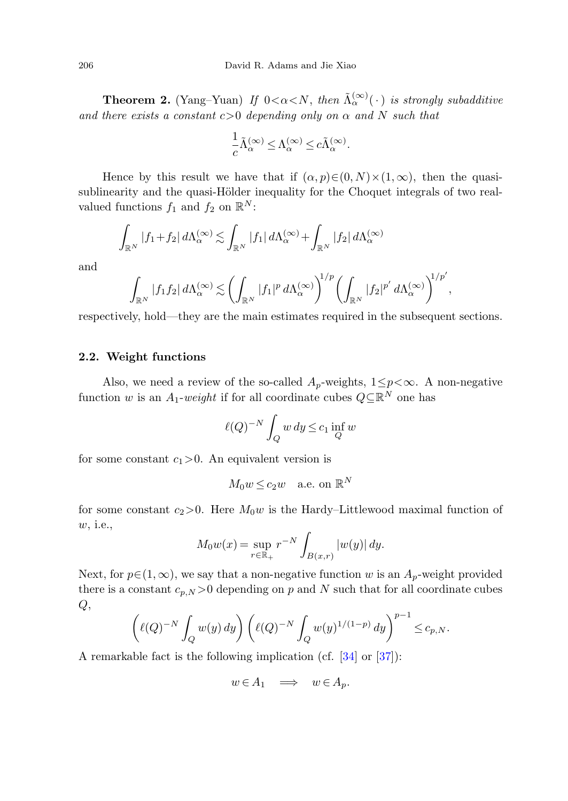**Theorem 2.** (Yang–Yuan) If  $0 < \alpha < N$ , then  $\tilde{\Lambda}_{\alpha}^{(\infty)}(\cdot)$  is strongly subadditive and there exists a constant  $c>0$  depending only on  $\alpha$  and N such that

$$
\frac{1}{c}\tilde{\Lambda}_{\alpha}^{(\infty)} \leq \Lambda_{\alpha}^{(\infty)} \leq c\tilde{\Lambda}_{\alpha}^{(\infty)}.
$$

Hence by this result we have that if  $(\alpha, p) \in (0, N) \times (1, \infty)$ , then the quasisublinearity and the quasi-Hölder inequality for the Choquet integrals of two realvalued functions  $f_1$  and  $f_2$  on  $\mathbb{R}^N$ :

$$
\int_{\mathbb{R}^N} |f_1+f_2| \, d\Lambda_\alpha^{(\infty)} \lesssim \int_{\mathbb{R}^N} |f_1| \, d\Lambda_\alpha^{(\infty)} + \int_{\mathbb{R}^N} |f_2| \, d\Lambda_\alpha^{(\infty)}
$$

and

$$
\int_{\mathbb{R}^N} |f_1 f_2| \, d \Lambda_\alpha^{(\infty)} \lesssim \left( \int_{\mathbb{R}^N} |f_1|^p \, d \Lambda_\alpha^{(\infty)} \right)^{1/p} \left( \int_{\mathbb{R}^N} |f_2|^{p'} \, d \Lambda_\alpha^{(\infty)} \right)^{1/p'},
$$

respectively, hold—they are the main estimates required in the subsequent sections.

#### **2.2. Weight functions**

Also, we need a review of the so-called  $A_p$ -weights,  $1 \leq p < \infty$ . A non-negative function w is an  $A_1\text{-}weight$  if for all coordinate cubes  $Q \subseteq \mathbb{R}^N$  one has

$$
\ell(Q)^{-N} \int_Q w \, dy \le c_1 \inf_Q w
$$

for some constant  $c_1>0$ . An equivalent version is

$$
M_0 w \le c_2 w \quad \text{a.e. on } \mathbb{R}^N
$$

for some constant  $c_2>0$ . Here  $M_0w$  is the Hardy–Littlewood maximal function of w, i.e.,

$$
M_0 w(x) = \sup_{r \in \mathbb{R}_+} r^{-N} \int_{B(x,r)} |w(y)| dy.
$$

Next, for  $p \in (1,\infty)$ , we say that a non-negative function w is an  $A_p$ -weight provided there is a constant  $c_{p,N} > 0$  depending on p and N such that for all coordinate cubes  $Q,$ 

$$
\left( \ell(Q)^{-N} \int_Q w(y) \, dy \right) \left( \ell(Q)^{-N} \int_Q w(y)^{1/(1-p)} \, dy \right)^{p-1} \leq c_{p,N}.
$$

A remarkable fact is the following implication (cf. [[34\]](#page-29-4) or [[37\]](#page-29-5)):

$$
w \in A_1 \quad \Longrightarrow \quad w \in A_p.
$$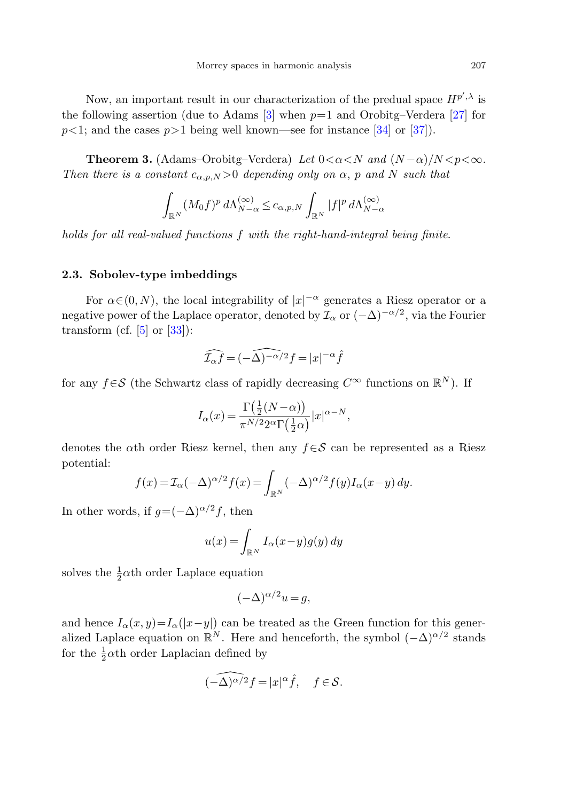Now, an important result in our characterization of the predual space  $H^{p',\lambda}$  is the following assertion (due to Adams  $[3]$  $[3]$  when  $p=1$  and Orobitg–Verdera [\[27](#page-29-13)] for  $p<1$ ; and the cases  $p>1$  being well known—see for instance [[34\]](#page-29-4) or [[37\]](#page-29-5)).

**Theorem 3.** (Adams–Orobitg–Verdera) Let  $0 < \alpha < N$  and  $(N - \alpha)/N < p < \infty$ . Then there is a constant  $c_{\alpha,p,N} > 0$  depending only on  $\alpha$ , p and N such that

<span id="page-6-0"></span>
$$
\int_{\mathbb{R}^N} (M_0 f)^p \, d\Lambda_{N-\alpha}^{(\infty)} \le c_{\alpha,p,N} \int_{\mathbb{R}^N} |f|^p \, d\Lambda_{N-\alpha}^{(\infty)}
$$

holds for all real-valued functions f with the right-hand-integral being finite.

#### **2.3. Sobolev-type imbeddings**

For  $\alpha \in (0, N)$ , the local integrability of  $|x|^{-\alpha}$  generates a Riesz operator or a negative power of the Laplace operator, denoted by  $\mathcal{I}_{\alpha}$  or  $(-\Delta)^{-\alpha/2}$ , via the Fourier transform (cf.  $[5]$  $[5]$  or  $[33]$  $[33]$ ):

$$
\widehat{\mathcal{I}_{\alpha}f}=(-\widehat{\Delta)^{-\alpha/2}}f=|x|^{-\alpha}\widehat{f}
$$

for any  $f \in \mathcal{S}$  (the Schwartz class of rapidly decreasing  $C^{\infty}$  functions on  $\mathbb{R}^{N}$ ). If

$$
I_{\alpha}(x) = \frac{\Gamma(\frac{1}{2}(N-\alpha))}{\pi^{N/2} 2^{\alpha} \Gamma(\frac{1}{2}\alpha)} |x|^{\alpha-N},
$$

denotes the  $\alpha$ th order Riesz kernel, then any  $f \in \mathcal{S}$  can be represented as a Riesz potential:

$$
f(x) = \mathcal{I}_{\alpha}(-\Delta)^{\alpha/2} f(x) = \int_{\mathbb{R}^N} (-\Delta)^{\alpha/2} f(y) I_{\alpha}(x-y) dy.
$$

In other words, if  $g=(-\Delta)^{\alpha/2}f$ , then

$$
u(x) = \int_{\mathbb{R}^N} I_{\alpha}(x - y) g(y) dy
$$

solves the  $\frac{1}{2}\alpha$ <sup>th</sup> order Laplace equation

$$
(-\Delta)^{\alpha/2}u = g,
$$

and hence  $I_{\alpha}(x, y) = I_{\alpha}(|x-y|)$  can be treated as the Green function for this generalized Laplace equation on  $\mathbb{R}^N$ . Here and henceforth, the symbol  $(-\Delta)^{\alpha/2}$  stands for the  $\frac{1}{2}\alpha$ <sup>th</sup> order Laplacian defined by

$$
\widehat{(-\Delta)^{\alpha/2}}f=|x|^{\alpha}\widehat{f},\quad f\in\mathcal{S}.
$$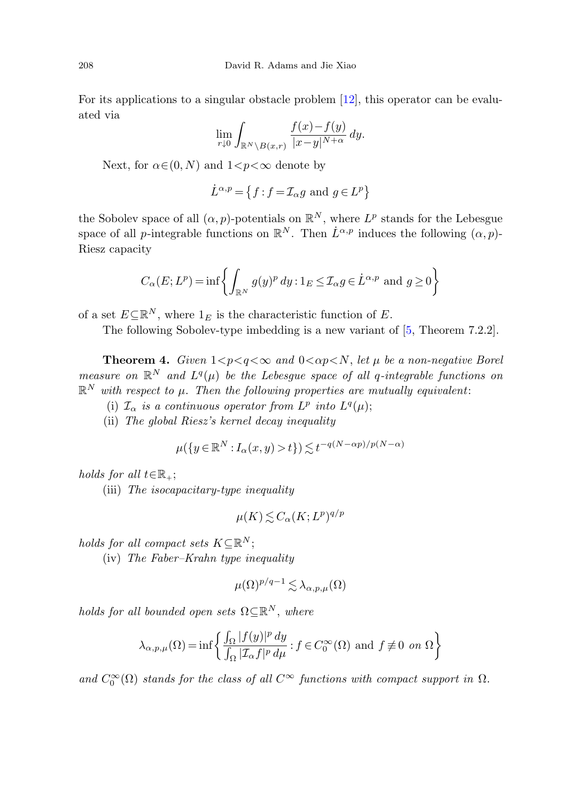For its applications to a singular obstacle problem [\[12](#page-28-18)], this operator can be evaluated via

$$
\lim_{r\downarrow 0}\int_{\mathbb{R}^N\setminus B(x,r)}\frac{f(x)-f(y)}{|x-y|^{N+\alpha}}\,dy.
$$

Next, for  $\alpha \in (0, N)$  and  $1 \lt p \lt \infty$  denote by

$$
\dot{L}^{\alpha,p} = \left\{ f : f = \mathcal{I}_{\alpha}g \text{ and } g \in L^p \right\}
$$

<span id="page-7-0"></span>the Sobolev space of all  $(\alpha, p)$ -potentials on  $\mathbb{R}^N$ , where  $L^p$  stands for the Lebesgue space of all p-integrable functions on  $\mathbb{R}^N$ . Then  $\dot{L}^{\alpha,p}$  induces the following  $(\alpha,p)$ -Riesz capacity

$$
C_{\alpha}(E; L^{p}) = \inf \left\{ \int_{\mathbb{R}^{N}} g(y)^{p} dy : 1_{E} \leq \mathcal{I}_{\alpha} g \in \dot{L}^{\alpha, p} \text{ and } g \geq 0 \right\}
$$

of a set  $E \subseteq \mathbb{R}^N$ , where  $1_E$  is the characteristic function of E.

The following Sobolev-type imbedding is a new variant of [\[5](#page-28-17), Theorem 7.2.2].

**Theorem 4.** Given  $1 < p < q < \infty$  and  $0 < \alpha p < N$ , let  $\mu$  be a non-negative Borel measure on  $\mathbb{R}^N$  and  $L^q(\mu)$  be the Lebesgue space of all q-integrable functions on  $\mathbb{R}^N$  with respect to  $\mu$ . Then the following properties are mutually equivalent:

- (i)  $\mathcal{I}_{\alpha}$  is a continuous operator from  $L^p$  into  $L^q(\mu)$ ;
- (ii) The global Riesz's kernel decay inequality

$$
\mu(\lbrace y \in \mathbb{R}^N : I_{\alpha}(x, y) > t \rbrace) \lesssim t^{-q(N - \alpha p)/p(N - \alpha)}
$$

holds for all  $t \in \mathbb{R}_+$ ;

(iii) The isocapacitary-type inequality

$$
\mu(K) \lesssim C_{\alpha}(K; L^p)^{q/p}
$$

holds for all compact sets  $K\subseteq\mathbb{R}^N$ ;

(iv) The Faber–Krahn type inequality

$$
\mu(\Omega)^{p/q-1} \lesssim \lambda_{\alpha,p,\mu}(\Omega)
$$

holds for all bounded open sets  $\Omega \subseteq \mathbb{R}^N$ , where

$$
\lambda_{\alpha,p,\mu}(\Omega) = \inf \left\{ \frac{\int_{\Omega} |f(y)|^p dy}{\int_{\Omega} |\mathcal{I}_{\alpha}f|^p d\mu} : f \in C_0^{\infty}(\Omega) \text{ and } f \neq 0 \text{ on } \Omega \right\}
$$

and  $C_0^{\infty}(\Omega)$  stands for the class of all  $C^{\infty}$  functions with compact support in  $\Omega$ .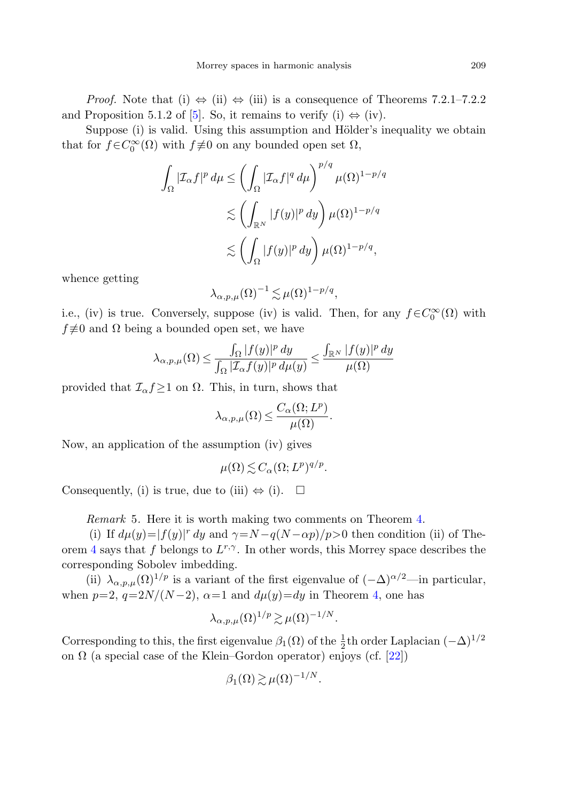*Proof.* Note that (i)  $\Leftrightarrow$  (ii)  $\Leftrightarrow$  (iii) is a consequence of Theorems 7.2.1–7.2.2 and Proposition 5.1.2 of [\[5](#page-28-17)]. So, it remains to verify (i)  $\Leftrightarrow$  (iv).

Suppose (i) is valid. Using this assumption and Hölder's inequality we obtain that for  $f \in C_0^{\infty}(\Omega)$  with  $f \neq 0$  on any bounded open set  $\Omega$ ,

$$
\int_{\Omega} |\mathcal{I}_{\alpha}f|^p d\mu \leq \left( \int_{\Omega} |\mathcal{I}_{\alpha}f|^q d\mu \right)^{p/q} \mu(\Omega)^{1-p/q}
$$
  

$$
\lesssim \left( \int_{\mathbb{R}^N} |f(y)|^p dy \right) \mu(\Omega)^{1-p/q}
$$
  

$$
\lesssim \left( \int_{\Omega} |f(y)|^p dy \right) \mu(\Omega)^{1-p/q},
$$

whence getting

$$
\lambda_{\alpha,p,\mu}(\Omega)^{-1} \lesssim \mu(\Omega)^{1-p/q},
$$

i.e., (iv) is true. Conversely, suppose (iv) is valid. Then, for any  $f \in C_0^{\infty}(\Omega)$  with  $f \not\equiv 0$  and  $\Omega$  being a bounded open set, we have

$$
\lambda_{\alpha,p,\mu}(\Omega) \le \frac{\int_{\Omega} |f(y)|^p dy}{\int_{\Omega} |\mathcal{I}_{\alpha}f(y)|^p d\mu(y)} \le \frac{\int_{\mathbb{R}^N} |f(y)|^p dy}{\mu(\Omega)}
$$

provided that  $\mathcal{I}_{\alpha} f \geq 1$  on  $\Omega$ . This, in turn, shows that

$$
\lambda_{\alpha,p,\mu}(\Omega) \le \frac{C_{\alpha}(\Omega;L^p)}{\mu(\Omega)}.
$$

Now, an application of the assumption (iv) gives

$$
\mu(\Omega) \lesssim C_{\alpha}(\Omega; L^p)^{q/p}.
$$

Consequently, (i) is true, due to (iii)  $\Leftrightarrow$  (i).  $\square$ 

Remark 5. Here it is worth making two comments on Theorem [4](#page-7-0).

(i) If  $d\mu(y)=|f(y)|^r dy$  and  $\gamma=N-q(N-\alpha p)/p>0$  then condition (ii) of The-orem [4](#page-7-0) says that f belongs to  $L^{r,\gamma}$ . In other words, this Morrey space describes the corresponding Sobolev imbedding.

(ii)  $\lambda_{\alpha,p,\mu}(\Omega)^{1/p}$  is a variant of the first eigenvalue of  $(-\Delta)^{\alpha/2}$ —in particular, when  $p=2$ ,  $q=2N/(N-2)$ ,  $\alpha=1$  and  $d\mu(y)=dy$  in Theorem [4](#page-7-0), one has

$$
\lambda_{\alpha,p,\mu}(\Omega)^{1/p} \gtrsim \mu(\Omega)^{-1/N}.
$$

Corresponding to this, the first eigenvalue  $\beta_1(\Omega)$  of the  $\frac{1}{2}$ th order Laplacian  $(-\Delta)^{1/2}$ on  $\Omega$  (a special case of the Klein–Gordon operator) enjoys (cf. [[22\]](#page-28-19))

$$
\beta_1(\Omega) \gtrsim \mu(\Omega)^{-1/N}.
$$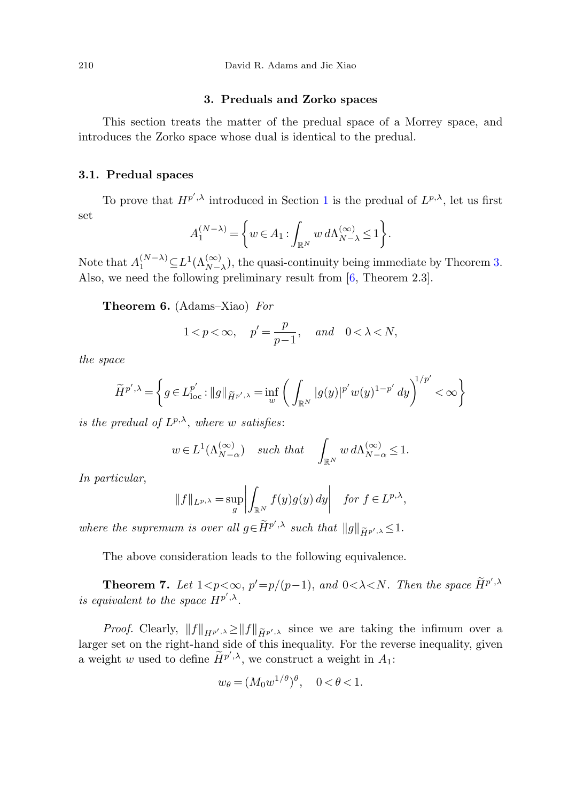#### **3. Preduals and Zorko spaces**

<span id="page-9-0"></span>This section treats the matter of the predual space of a Morrey space, and introduces the Zorko space whose dual is identical to the predual.

#### **3.1. Predual spaces**

To prove that  $H^{p',\lambda}$  introduced in Section [1](#page-0-0) is the predual of  $L^{p,\lambda}$ , let us first set

<span id="page-9-1"></span>
$$
A_1^{(N-\lambda)} = \left\{ w \in A_1 : \int_{\mathbb{R}^N} w \, d\Lambda_{N-\lambda}^{(\infty)} \le 1 \right\}.
$$

Note that  $A_1^{(N-\lambda)} \subseteq L^1(\Lambda_{N-\lambda}^{(\infty)})$ , the quasi-continuity being immediate by Theorem [3.](#page-6-0) Also, we need the following preliminary result from [[6,](#page-28-8) Theorem 2.3].

**Theorem 6.** (Adams–Xiao) For

$$
1 < p < \infty, \quad p' = \frac{p}{p-1}, \quad and \quad 0 < \lambda < N,
$$

the space

$$
\widetilde{H}^{p',\lambda} = \left\{ g \in L^{p'}_{\text{loc}} : ||g||_{\widetilde{H}^{p',\lambda}} = \inf_{w} \left( \int_{\mathbb{R}^N} |g(y)|^{p'} w(y)^{1-p'} dy \right)^{1/p'} < \infty \right\}
$$

is the predual of  $L^{p,\lambda}$ , where w satisfies:

$$
w \in L^1(\Lambda_{N-\alpha}^{(\infty)})
$$
 such that  $\int_{\mathbb{R}^N} w d\Lambda_{N-\alpha}^{(\infty)} \leq 1$ .

<span id="page-9-2"></span>In particular,

$$
||f||_{L^{p,\lambda}} = \sup_{g} \left| \int_{\mathbb{R}^N} f(y)g(y) \, dy \right| \quad \text{for } f \in L^{p,\lambda},
$$

where the supremum is over all  $g \in \widetilde{H}^{p',\lambda}$  such that  $||g||_{\widetilde{H}^{p',\lambda}} \leq 1$ .

The above consideration leads to the following equivalence.

**Theorem 7.** Let  $1 < p < \infty$ ,  $p' = p/(p-1)$ , and  $0 < \lambda < N$ . Then the space  $\widetilde{H}^{p',\lambda}$ is equivalent to the space  $H^{p',\lambda}$ .

*Proof.* Clearly,  $||f||_{H^{p',\lambda}} \ge ||f||_{\widetilde{H}^{p',\lambda}}$  since we are taking the infimum over a larger set on the right-hand side of this inequality. For the reverse inequality, given a weight w used to define  $\widetilde{H}^{p',\lambda}$ , we construct a weight in  $A_1$ :

$$
w_{\theta} = (M_0 w^{1/\theta})^{\theta}, \quad 0 < \theta < 1.
$$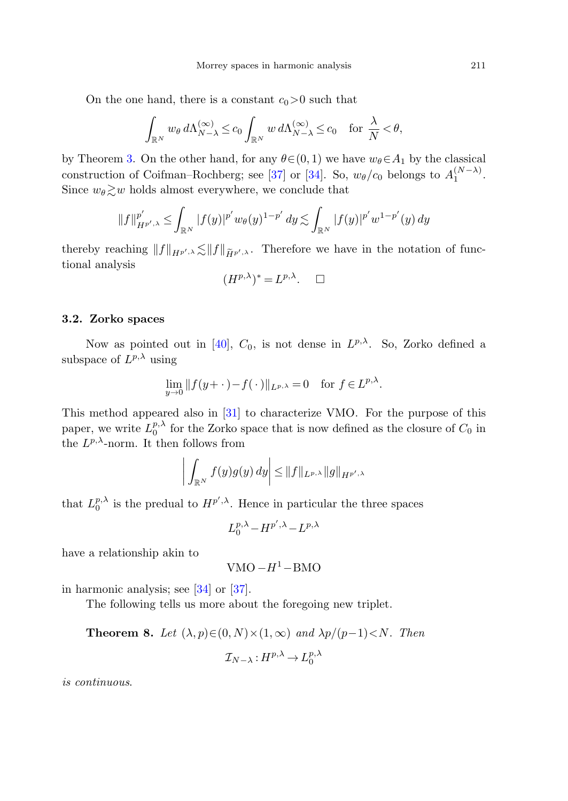On the one hand, there is a constant  $c_0>0$  such that

$$
\int_{\mathbb{R}^N} w_\theta \, d\Lambda_{N-\lambda}^{(\infty)} \le c_0 \int_{\mathbb{R}^N} w \, d\Lambda_{N-\lambda}^{(\infty)} \le c_0 \quad \text{for } \frac{\lambda}{N} < \theta,
$$

by Theorem [3](#page-6-0). On the other hand, for any  $\theta \in (0, 1)$  we have  $w_{\theta} \in A_1$  by the classical construction of Coifman–Rochberg; see [\[37](#page-29-5)] or [[34\]](#page-29-4). So,  $w_{\theta}/c_0$  belongs to  $A_1^{(N-\lambda)}$ . Since  $w_{\theta} \gtrsim w$  holds almost everywhere, we conclude that

$$
||f||_{H^{p',\lambda}}^{p'} \leq \int_{\mathbb{R}^N} |f(y)|^{p'} w_{\theta}(y)^{1-p'} dy \lesssim \int_{\mathbb{R}^N} |f(y)|^{p'} w^{1-p'}(y) dy
$$

thereby reaching  $||f||_{H^{p',\lambda}} \lesssim ||f||_{\widetilde{H}^{p',\lambda}}$ . Therefore we have in the notation of functional analysis

$$
(H^{p,\lambda})^* = L^{p,\lambda}.\quad \Box
$$

#### **3.2. Zorko spaces**

Now as pointed out in [\[40](#page-29-6)],  $C_0$ , is not dense in  $L^{p,\lambda}$ . So, Zorko defined a subspace of  $L^{p,\lambda}$  using

$$
\lim_{y \to 0} ||f(y + \cdot) - f(\cdot)||_{L^{p,\lambda}} = 0 \quad \text{for } f \in L^{p,\lambda}.
$$

This method appeared also in [[31\]](#page-29-11) to characterize VMO. For the purpose of this paper, we write  $L_0^{p,\lambda}$  for the Zorko space that is now defined as the closure of  $C_0$  in the  $L^{p,\lambda}$ -norm. It then follows from

$$
\left| \int_{\mathbb{R}^N} f(y)g(y) \, dy \right| \leq \|f\|_{L^{p,\lambda}} \|g\|_{H^{p',\lambda}}
$$

that  $L_0^{p,\lambda}$  is the predual to  $H^{p',\lambda}$ . Hence in particular the three spaces

$$
L_0^{p,\lambda} - H^{p',\lambda} - L^{p,\lambda}
$$

have a relationship akin to

$$
VMO - H^1 - BMO
$$

in harmonic analysis; see [[34\]](#page-29-4) or [[37\]](#page-29-5).

The following tells us more about the foregoing new triplet.

**Theorem 8.** Let 
$$
(\lambda, p) \in (0, N) \times (1, \infty)
$$
 and  $\lambda p/(p-1) < N$ . Then  

$$
\mathcal{I}_{N-\lambda}: H^{p,\lambda} \to L_0^{p,\lambda}
$$

is continuous.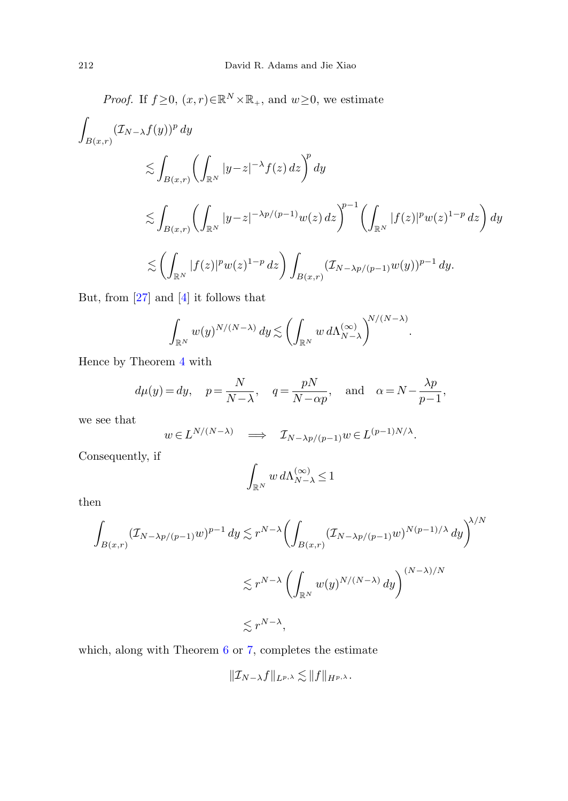Proof. If 
$$
f \ge 0
$$
,  $(x, r) \in \mathbb{R}^N \times \mathbb{R}_+$ , and  $w \ge 0$ , we estimate  
\n
$$
\int_{B(x,r)} (\mathcal{I}_{N-\lambda} f(y))^p dy
$$
\n
$$
\lesssim \int_{B(x,r)} \left( \int_{\mathbb{R}^N} |y-z|^{-\lambda} f(z) dz \right)^p dy
$$
\n
$$
\lesssim \int_{B(x,r)} \left( \int_{\mathbb{R}^N} |y-z|^{-\lambda p/(p-1)} w(z) dz \right)^{p-1} \left( \int_{\mathbb{R}^N} |f(z)|^p w(z)^{1-p} dz \right) dy
$$
\n
$$
\lesssim \left( \int_{\mathbb{R}^N} |f(z)|^p w(z)^{1-p} dz \right) \int_{B(x,r)} (\mathcal{I}_{N-\lambda p/(p-1)} w(y))^{p-1} dy.
$$

But, from [[27](#page-29-13)] and [[4\]](#page-28-14) it follows that

$$
\int_{\mathbb{R}^N} w(y)^{N/(N-\lambda)} dy \lesssim \left( \int_{\mathbb{R}^N} w \, d\Lambda_{N-\lambda}^{(\infty)} \right)^{N/(N-\lambda)}
$$

.

Hence by Theorem [4](#page-7-0) with

$$
d\mu(y) = dy
$$
,  $p = \frac{N}{N-\lambda}$ ,  $q = \frac{pN}{N-\alpha p}$ , and  $\alpha = N - \frac{\lambda p}{p-1}$ ,

we see that

$$
w \in L^{N/(N-\lambda)}
$$
  $\Longrightarrow$   $\mathcal{I}_{N-\lambda p/(p-1)}w \in L^{(p-1)N/\lambda}$ .

Consequently, if

$$
\int_{\mathbb{R}^N} w \, d\Lambda_{N-\lambda}^{(\infty)} \le 1
$$

then

$$
\int_{B(x,r)} (\mathcal{I}_{N-\lambda p/(p-1)} w)^{p-1} dy \lesssim r^{N-\lambda} \left( \int_{B(x,r)} (\mathcal{I}_{N-\lambda p/(p-1)} w)^{N(p-1)/\lambda} dy \right)^{\lambda/N}
$$
  

$$
\lesssim r^{N-\lambda} \left( \int_{\mathbb{R}^N} w(y)^{N/(N-\lambda)} dy \right)^{(N-\lambda)/N}
$$
  

$$
\lesssim r^{N-\lambda},
$$

which, along with Theorem [6](#page-9-1) or [7,](#page-9-2) completes the estimate

$$
\|\mathcal{I}_{N-\lambda}f\|_{L^{p,\lambda}} \lesssim \|f\|_{H^{p,\lambda}}.
$$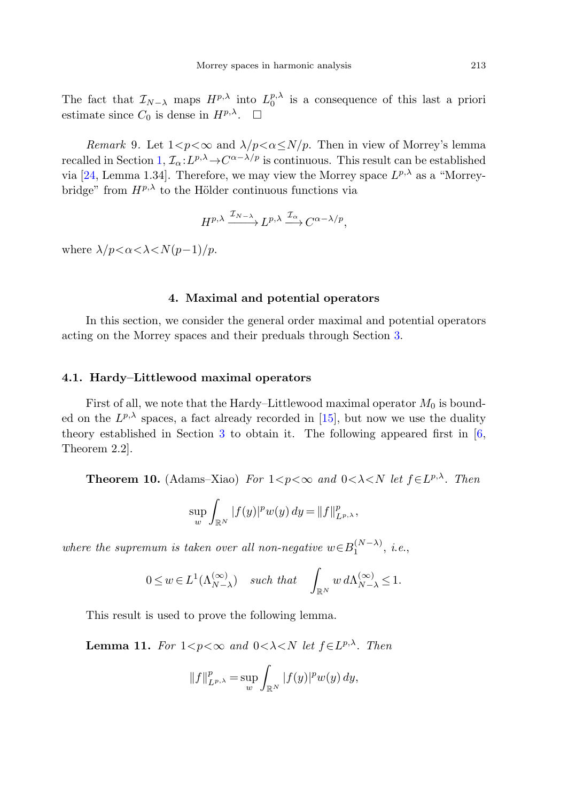The fact that  $\mathcal{I}_{N-\lambda}$  maps  $H^{p,\lambda}$  into  $L_0^{p,\lambda}$  is a consequence of this last a priori estimate since  $C_0$  is dense in  $H^{p,\lambda}$ .  $\Box$ 

Remark 9. Let  $1 < p < \infty$  and  $\lambda/p < \alpha \le N/p$ . Then in view of Morrey's lemma recalled in Section [1,](#page-0-0)  $\mathcal{I}_{\alpha}: L^{p,\lambda} \to C^{\alpha-\lambda/p}$  is continuous. This result can be established via [\[24,](#page-28-20) Lemma 1.34]. Therefore, we may view the Morrey space  $L^{p,\lambda}$  as a "Morreybridge" from  $H^{p,\lambda}$  to the Hölder continuous functions via

$$
H^{p,\lambda} \xrightarrow{\mathcal{I}_{N-\lambda}} L^{p,\lambda} \xrightarrow{\mathcal{I}_{\alpha}} C^{\alpha-\lambda/p},
$$

<span id="page-12-0"></span>where  $\lambda/p < \alpha < \lambda < N(p-1)/p$ .

#### **4. Maximal and potential operators**

In this section, we consider the general order maximal and potential operators acting on the Morrey spaces and their preduals through Section [3](#page-9-0).

#### **4.1. Hardy–Littlewood maximal operators**

First of all, we note that the Hardy–Littlewood maximal operator  $M_0$  is bounded on the  $L^{p,\lambda}$  spaces, a fact already recorded in [\[15](#page-28-9)], but now we use the duality theory established in Section [3](#page-9-0) to obtain it. The following appeared first in [[6,](#page-28-8) Theorem 2.2].

**Theorem 10.** (Adams–Xiao) For  $1 < p < \infty$  and  $0 < \lambda < N$  let  $f \in L^{p,\lambda}$ . Then

$$
\sup_{w} \int_{\mathbb{R}^{N}} |f(y)|^{p} w(y) dy = ||f||_{L^{p,\lambda}}^{p},
$$

<span id="page-12-1"></span>where the supremum is taken over all non-negative  $w \in B_1^{(N-\lambda)}$ , i.e.,

$$
0 \le w \in L^1(\Lambda_{N-\lambda}^{(\infty)}) \quad \text{such that} \quad \int_{\mathbb{R}^N} w \, d\Lambda_{N-\lambda}^{(\infty)} \le 1.
$$

This result is used to prove the following lemma.

**Lemma 11.** For  $1 \leq p \leq \infty$  and  $0 \leq \lambda \leq N$  let  $f \in L^{p,\lambda}$ . Then

$$
||f||_{L^{p,\lambda}}^p = \sup_{w} \int_{\mathbb{R}^N} |f(y)|^p w(y) \, dy,
$$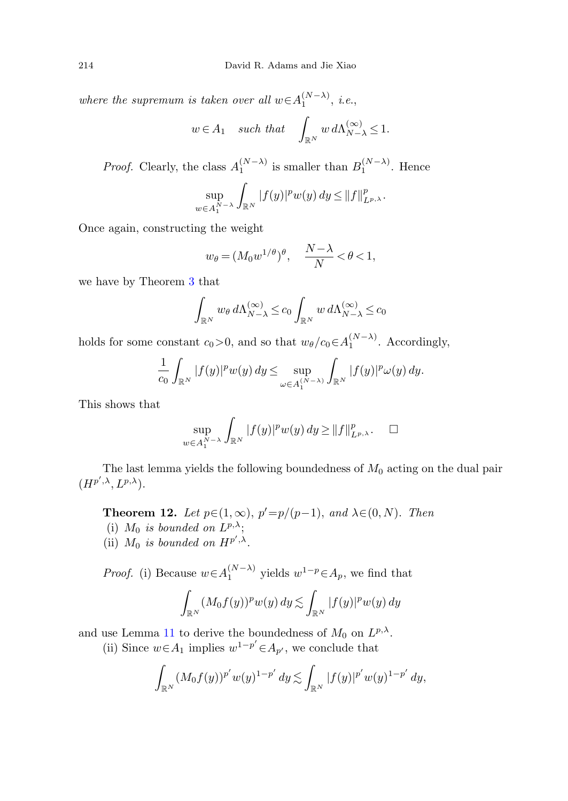where the supremum is taken over all  $w \in A_1^{(N-\lambda)}$ , i.e.,

$$
w\in A_1\quad\text{such that}\quad\int_{\mathbb{R}^N}w\,d\Lambda_{N-\lambda}^{(\infty)}\leq 1.
$$

*Proof.* Clearly, the class  $A_1^{(N-\lambda)}$  is smaller than  $B_1^{(N-\lambda)}$ . Hence

$$
\sup_{w \in A_1^{N-\lambda}} \int_{\mathbb{R}^N} |f(y)|^p w(y) dy \leq ||f||_{L^{p,\lambda}}^p.
$$

Once again, constructing the weight

$$
w_{\theta} = (M_0 w^{1/\theta})^{\theta}, \quad \frac{N-\lambda}{N} < \theta < 1,
$$

we have by Theorem [3](#page-6-0) that

$$
\int_{\mathbb{R}^N} w_\theta \, d\Lambda_{N-\lambda}^{(\infty)} \le c_0 \int_{\mathbb{R}^N} w \, d\Lambda_{N-\lambda}^{(\infty)} \le c_0
$$

holds for some constant  $c_0 > 0$ , and so that  $w_\theta/c_0 \in A_1^{(N-\lambda)}$ . Accordingly,

$$
\frac{1}{c_0} \int_{\mathbb{R}^N} |f(y)|^p w(y) dy \le \sup_{\omega \in A_1^{(N-\lambda)}} \int_{\mathbb{R}^N} |f(y)|^p \omega(y) dy.
$$

<span id="page-13-0"></span>This shows that

$$
\sup_{w \in A_1^{N-\lambda}} \int_{\mathbb{R}^N} |f(y)|^p w(y) dy \ge ||f||_{L^{p,\lambda}}^p. \quad \Box
$$

The last lemma yields the following boundedness of  $M_0$  acting on the dual pair  $(H^{p',\lambda}, L^{p,\lambda}).$ 

**Theorem 12.** Let  $p \in (1, \infty)$ ,  $p' = p/(p-1)$ , and  $\lambda \in (0, N)$ . Then

- (i)  $M_0$  is bounded on  $L^{p,\lambda}$ ;
- (ii)  $M_0$  is bounded on  $H^{p',\lambda}$ .

*Proof.* (i) Because  $w \in A_1^{(N-\lambda)}$  yields  $w^{1-p} \in A_p$ , we find that

$$
\int_{\mathbb{R}^N} (M_0 f(y))^p w(y) dy \lesssim \int_{\mathbb{R}^N} |f(y)|^p w(y) dy
$$

and use Lemma [11](#page-12-1) to derive the boundedness of  $M_0$  on  $L^{p,\lambda}$ .

(ii) Since  $w \in A_1$  implies  $w^{1-p'} \in A_{p'}$ , we conclude that

$$
\int_{\mathbb{R}^N} (M_0 f(y))^{p'} w(y)^{1-p'} dy \lesssim \int_{\mathbb{R}^N} |f(y)|^{p'} w(y)^{1-p'} dy,
$$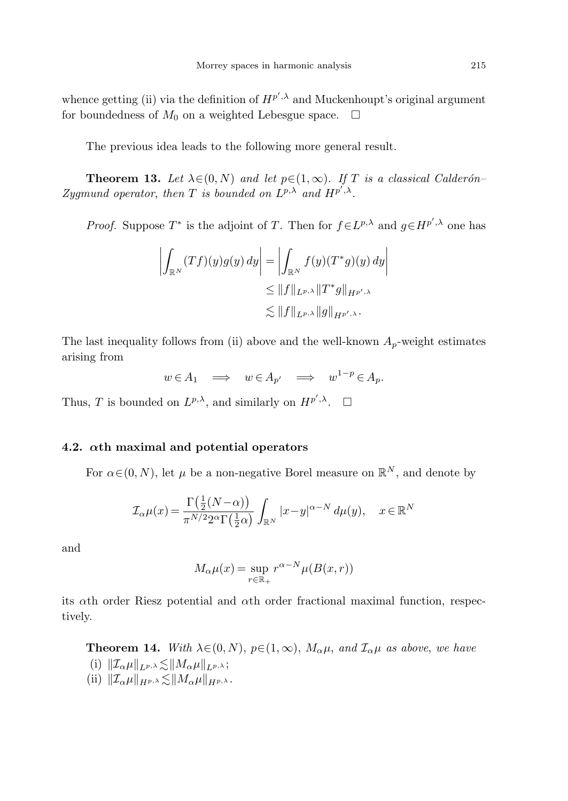whence getting (ii) via the definition of  $H^{p',\lambda}$  and Muckenhoupt's original argument for boundedness of  $M_0$  on a weighted Lebesgue space.  $\Box$ 

The previous idea leads to the following more general result.

**Theorem 13.** Let  $\lambda \in (0, N)$  and let  $p \in (1, \infty)$ . If T is a classical Calderón– Zygmund operator, then T is bounded on  $L^{p,\lambda}$  and  $H^{p',\lambda}$ .

*Proof.* Suppose  $T^*$  is the adjoint of T. Then for  $f \in L^{p,\lambda}$  and  $g \in H^{p',\lambda}$  one has

$$
\left| \int_{\mathbb{R}^N} (Tf)(y)g(y) \, dy \right| = \left| \int_{\mathbb{R}^N} f(y)(T^*g)(y) \, dy \right|
$$
  
\n
$$
\leq \|f\|_{L^{p,\lambda}} \|T^*g\|_{H^{p',\lambda}}
$$
  
\n
$$
\lesssim \|f\|_{L^{p,\lambda}} \|g\|_{H^{p',\lambda}}.
$$

The last inequality follows from (ii) above and the well-known  $A_p$ -weight estimates arising from

$$
w \in A_1 \implies w \in A_{p'} \implies w^{1-p} \in A_p.
$$

Thus, T is bounded on  $L^{p,\lambda}$ , and similarly on  $H^{p',\lambda}$ .  $\square$ 

#### **4.2.** *α***th maximal and potential operators**

For  $\alpha \in (0, N)$ , let  $\mu$  be a non-negative Borel measure on  $\mathbb{R}^N$ , and denote by

$$
\mathcal{I}_{\alpha}\mu(x) = \frac{\Gamma(\frac{1}{2}(N-\alpha))}{\pi^{N/2}2^{\alpha}\Gamma(\frac{1}{2}\alpha)} \int_{\mathbb{R}^N} |x-y|^{\alpha-N} d\mu(y), \quad x \in \mathbb{R}^N
$$

<span id="page-14-0"></span>and

$$
M_{\alpha}\mu(x) = \sup_{r \in \mathbb{R}_+} r^{\alpha - N} \mu(B(x, r))
$$

its αth order Riesz potential and αth order fractional maximal function, respectively.

**Theorem 14.** With  $\lambda \in (0, N)$ ,  $p \in (1, \infty)$ ,  $M_{\alpha} \mu$ , and  $\mathcal{I}_{\alpha} \mu$  as above, we have

- (i)  $\|\mathcal{I}_{\alpha}\mu\|_{L^{p,\lambda}} \lesssim \|M_{\alpha}\mu\|_{L^{p,\lambda}};$
- (ii)  $||\mathcal{I}_{\alpha}\mu||_{H^{p,\lambda}} \lesssim ||M_{\alpha}\mu||_{H^{p,\lambda}}$ .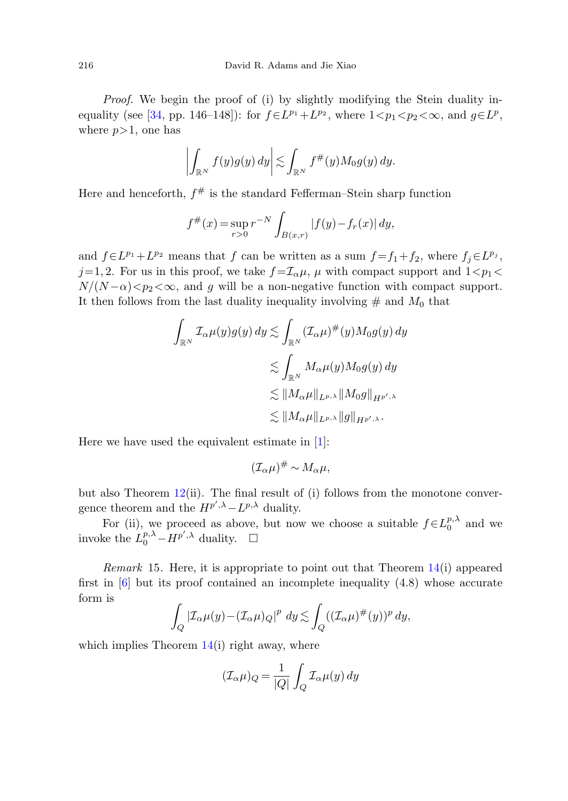Proof. We begin the proof of (i) by slightly modifying the Stein duality in-equality (see [\[34](#page-29-4), pp. 146–148]): for  $f \in L^{p_1} + L^{p_2}$ , where  $1 < p_1 < p_2 < \infty$ , and  $q \in L^p$ , where  $p>1$ , one has

$$
\left| \int_{\mathbb{R}^N} f(y)g(y) \, dy \right| \lesssim \int_{\mathbb{R}^N} f^{\#}(y) M_0 g(y) \, dy.
$$

Here and henceforth,  $f^{\#}$  is the standard Fefferman–Stein sharp function

$$
f^{\#}(x) = \sup_{r>0} r^{-N} \int_{B(x,r)} |f(y) - f_r(x)| dy,
$$

and  $f \in L^{p_1} + L^{p_2}$  means that f can be written as a sum  $f = f_1 + f_2$ , where  $f_j \in L^{p_j}$ ,  $j=1, 2$ . For us in this proof, we take  $f = \mathcal{I}_{\alpha}\mu$ ,  $\mu$  with compact support and  $1 < p_1 <$  $N/(N-\alpha) < p_2 < \infty$ , and g will be a non-negative function with compact support. It then follows from the last duality inequality involving  $\#$  and  $M_0$  that

$$
\int_{\mathbb{R}^N} \mathcal{I}_{\alpha}\mu(y)g(y) dy \lesssim \int_{\mathbb{R}^N} (\mathcal{I}_{\alpha}\mu)^{\#}(y)M_0g(y) dy
$$
  

$$
\lesssim \int_{\mathbb{R}^N} M_{\alpha}\mu(y)M_0g(y) dy
$$
  

$$
\lesssim ||M_{\alpha}\mu||_{L^{p,\lambda}} ||M_0g||_{H^{p',\lambda}}
$$
  

$$
\lesssim ||M_{\alpha}\mu||_{L^{p,\lambda}} ||g||_{H^{p',\lambda}}.
$$

Here we have used the equivalent estimate in [\[1](#page-27-0)]:

$$
(\mathcal{I}_{\alpha}\mu)^{\#} \sim M_{\alpha}\mu,
$$

but also Theorem  $12(ii)$  $12(ii)$ . The final result of (i) follows from the monotone convergence theorem and the  $H^{p',\lambda} - L^{p,\lambda}$  duality.

For (ii), we proceed as above, but now we choose a suitable  $f \in L_0^{p,\lambda}$  and we invoke the  $L_0^{p,\lambda} - H^{p',\lambda}$  duality.  $\square$ 

*Remark* 15. Here, it is appropriate to point out that Theorem  $14(i)$  $14(i)$  appeared first in  $\left[6\right]$  $\left[6\right]$  $\left[6\right]$  but its proof contained an incomplete inequality  $(4.8)$  whose accurate form is

$$
\int_{Q} |\mathcal{I}_{\alpha}\mu(y) - (\mathcal{I}_{\alpha}\mu)_{Q}|^{p} dy \lesssim \int_{Q} ((\mathcal{I}_{\alpha}\mu)^{\#}(y))^{p} dy,
$$

which implies Theorem  $14(i)$  $14(i)$  right away, where

$$
(\mathcal{I}_{\alpha}\mu)_{Q} = \frac{1}{|Q|} \int_{Q} \mathcal{I}_{\alpha}\mu(y) \, dy
$$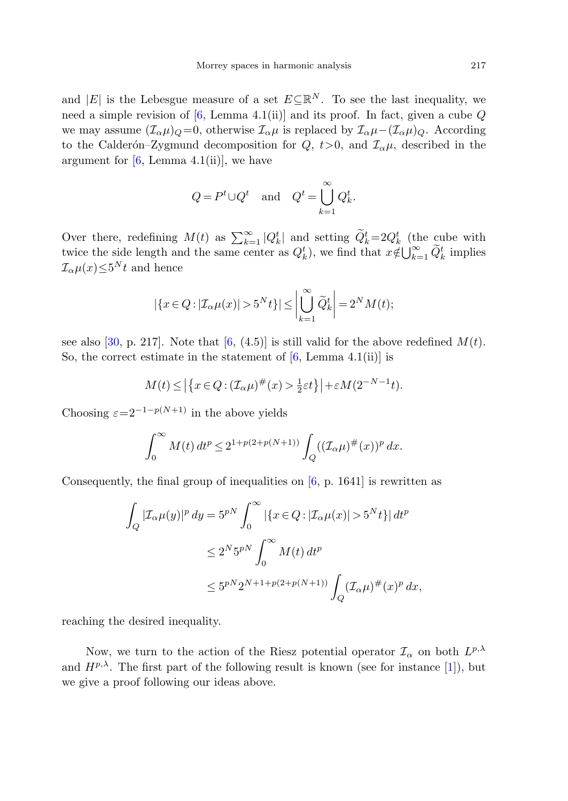and |E| is the Lebesgue measure of a set  $E\subseteq \mathbb{R}^N$ . To see the last inequality, we need a simple revision of  $[6, \text{ Lemma } 4.1(i)]$  $[6, \text{ Lemma } 4.1(i)]$  and its proof. In fact, given a cube Q we may assume  $(\mathcal{I}_{\alpha}\mu)_{Q} = 0$ , otherwise  $\mathcal{I}_{\alpha}\mu$  is replaced by  $\mathcal{I}_{\alpha}\mu-(\mathcal{I}_{\alpha}\mu)_{Q}$ . According to the Calderón–Zygmund decomposition for  $Q, t>0$ , and  $\mathcal{I}_{\alpha}\mu$ , described in the argument for  $[6, \text{Lemma } 4.1(ii)]$  $[6, \text{Lemma } 4.1(ii)]$ , we have

$$
Q = P^t \cup Q^t \quad \text{and} \quad Q^t = \bigcup_{k=1}^{\infty} Q_k^t.
$$

Over there, redefining  $M(t)$  as  $\sum_{k=1}^{\infty} |Q_k^t|$  and setting  $\widetilde{Q}_k^t = 2Q_k^t$  (the cube with twice the side length and the same center as  $Q_k^t$ ), we find that  $x \notin \bigcup_{k=1}^{\infty} \tilde{Q}_k^t$  implies  $\mathcal{I}_{\alpha}\mu(x) \leq 5^N t$  and hence

$$
|\{x \in Q : |\mathcal{I}_{\alpha}\mu(x)| > 5^N t\}| \le \left|\bigcup_{k=1}^{\infty} \widetilde{Q}_k^t\right| = 2^N M(t);
$$

see also [\[30](#page-29-15), p. 217]. Note that [[6,](#page-28-8) (4.5)] is still valid for the above redefined  $M(t)$ . So, the correct estimate in the statement of  $[6, \text{Lemma } 4.1(i)]$  $[6, \text{Lemma } 4.1(i)]$  $[6, \text{Lemma } 4.1(i)]$  is

$$
M(t) \le \left| \left\{ x \in Q : (\mathcal{I}_{\alpha}\mu)^{\#}(x) > \frac{1}{2}\varepsilon t \right\} \right| + \varepsilon M(2^{-N-1}t).
$$

Choosing  $\varepsilon=2^{-1-p(N+1)}$  in the above yields

$$
\int_0^\infty M(t)\,dt^p \le 2^{1+p(2+p(N+1))}\int_Q ((\mathcal{I}_\alpha \mu)^\#(x))^p\,dx.
$$

Consequently, the final group of inequalities on [\[6](#page-28-8), p. 1641] is rewritten as

$$
\int_{Q} |\mathcal{I}_{\alpha}\mu(y)|^p dy = 5^{pN} \int_0^{\infty} \left| \{x \in Q : |\mathcal{I}_{\alpha}\mu(x)| > 5^N t \} \right| dt^p
$$
  

$$
\leq 2^N 5^{pN} \int_0^{\infty} M(t) dt^p
$$
  

$$
\leq 5^{pN} 2^{N+1+p(2+p(N+1))} \int_Q (\mathcal{I}_{\alpha}\mu)^{\#}(x)^p dx,
$$

reaching the desired inequality.

Now, we turn to the action of the Riesz potential operator  $\mathcal{I}_{\alpha}$  on both  $L^{p,\lambda}$ and  $H^{p,\lambda}$ . The first part of the following result is known (see for instance [[1\]](#page-27-0)), but we give a proof following our ideas above.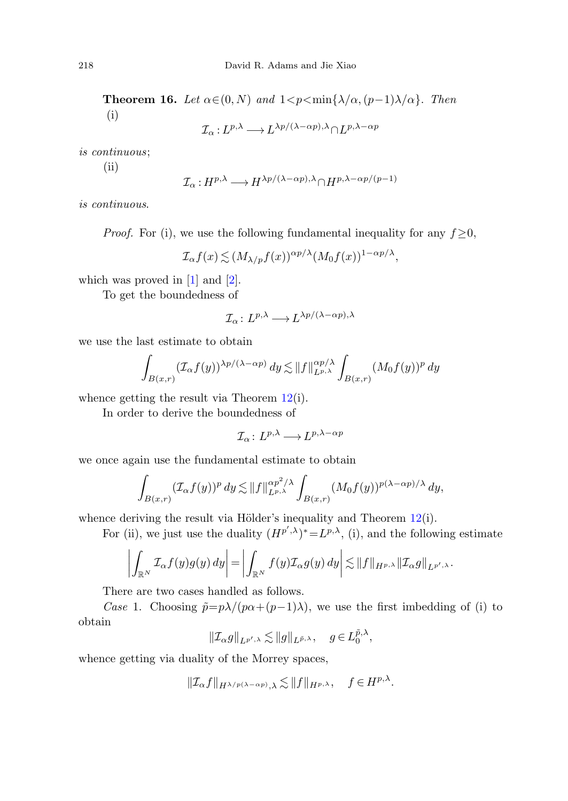**Theorem 16.** Let  $\alpha \in (0, N)$  and  $1 < p < \min\{\lambda/\alpha, (p-1)\lambda/\alpha\}$ . Then (i)

 $\mathcal{I}_{\alpha}: L^{p,\lambda} \longrightarrow L^{\lambda p/(\lambda-\alpha p),\lambda} \cap L^{p,\lambda-\alpha p}$ 

is continuous;

(ii)

$$
\mathcal{I}_{\alpha}: H^{p,\lambda} \longrightarrow H^{\lambda p/(\lambda - \alpha p),\lambda} \cap H^{p,\lambda - \alpha p/(p-1)}
$$

is continuous.

*Proof.* For (i), we use the following fundamental inequality for any  $f \geq 0$ ,

$$
\mathcal{I}_{\alpha}f(x) \lesssim (M_{\lambda/p}f(x))^{\alpha p/\lambda} (M_0f(x))^{1-\alpha p/\lambda},
$$

which was proved in  $[1]$  $[1]$  and  $[2]$  $[2]$ .

To get the boundedness of

$$
\mathcal{I}_{\alpha}: L^{p,\lambda} \longrightarrow L^{\lambda p/(\lambda - \alpha p),\lambda}
$$

we use the last estimate to obtain

$$
\int_{B(x,r)} (\mathcal{I}_{\alpha}f(y))^{\lambda p/(\lambda-\alpha p)} dy \lesssim ||f||_{L^{p,\lambda}}^{\alpha p/\lambda} \int_{B(x,r)} (M_0f(y))^p dy
$$

whence getting the result via Theorem [12\(](#page-13-0)i).

In order to derive the boundedness of

$$
\mathcal{I}_{\alpha} \colon L^{p,\lambda} \longrightarrow L^{p,\lambda-\alpha p}
$$

we once again use the fundamental estimate to obtain

$$
\int_{B(x,r)} (\mathcal{I}_{\alpha}f(y))^{p} dy \lesssim ||f||_{L^{p,\lambda}}^{\alpha p^{2}/\lambda} \int_{B(x,r)} (M_{0}f(y))^{p(\lambda-\alpha p)/\lambda} dy,
$$

whence deriving the result via Hölder's inequality and Theorem  $12(i)$  $12(i)$ .

For (ii), we just use the duality  $(H^{p',\lambda})^* = L^{p,\lambda}$ , (i), and the following estimate

$$
\left| \int_{\mathbb{R}^N} \mathcal{I}_{\alpha} f(y) g(y) dy \right| = \left| \int_{\mathbb{R}^N} f(y) \mathcal{I}_{\alpha} g(y) dy \right| \lesssim \|f\|_{H^{p,\lambda}} \|\mathcal{I}_{\alpha} g\|_{L^{p',\lambda}}.
$$

There are two cases handled as follows.

Case 1. Choosing  $\tilde{p}=p\lambda/(p\alpha+(p-1)\lambda)$ , we use the first imbedding of (i) to obtain

$$
||\mathcal{I}_{\alpha}g||_{L^{p',\lambda}} \lesssim ||g||_{L^{\tilde{p},\lambda}}, \quad g \in L^{\tilde{p},\lambda}_0,
$$

whence getting via duality of the Morrey spaces,

$$
\|\mathcal{I}_{\alpha}f\|_{H^{\lambda/p(\lambda-\alpha p)},\lambda} \lesssim \|f\|_{H^{p,\lambda}}, \quad f \in H^{p,\lambda}.
$$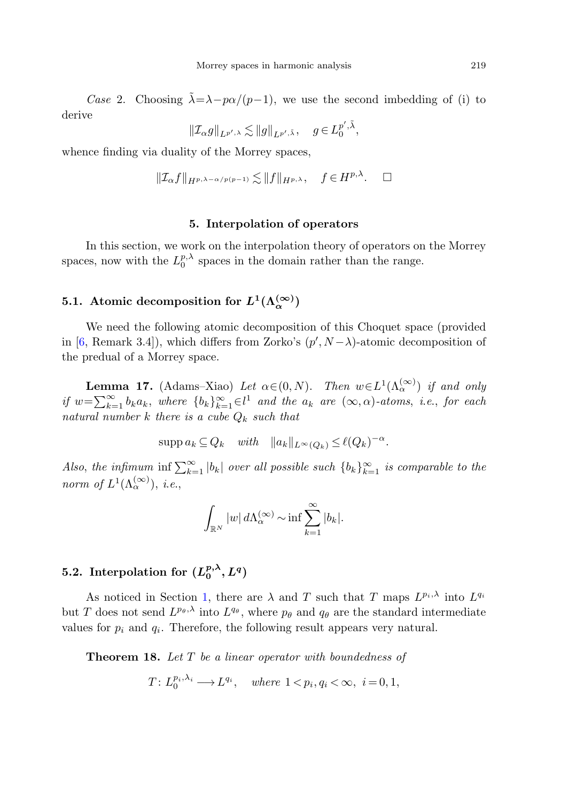Case 2. Choosing  $\tilde{\lambda} = \lambda - p\alpha/(p-1)$ , we use the second imbedding of (i) to derive

$$
\|\mathcal{I}_{\alpha}g\|_{L^{p',\lambda}} \lesssim \|g\|_{L^{p',\tilde{\lambda}}}, \quad g \in L_0^{p',\tilde{\lambda}},
$$

<span id="page-18-0"></span>whence finding via duality of the Morrey spaces,

$$
||\mathcal{I}_{\alpha}f||_{H^{p,\lambda-\alpha/p(p-1)}} \lesssim ||f||_{H^{p,\lambda}}, \quad f \in H^{p,\lambda}.\quad \Box
$$

#### <span id="page-18-1"></span>**5. Interpolation of operators**

In this section, we work on the interpolation theory of operators on the Morrey spaces, now with the  $L_0^{p,\lambda}$  spaces in the domain rather than the range.

## **5.1.** Atomic decomposition for  $L^1(\Lambda^{(\infty)}_c)$

We need the following atomic decomposition of this Choquet space (provided in [[6,](#page-28-8) Remark 3.4]), which differs from Zorko's  $(p', N - \lambda)$ -atomic decomposition of the predual of a Morrey space.

**Lemma 17.** (Adams–Xiao) Let  $\alpha \in (0, N)$ . Then  $w \in L^1(\Lambda_\alpha^{(\infty)})$  if and only if  $w = \sum_{k=1}^{\infty} b_k a_k$ , where  ${b_k}_{k=1}^{\infty} \in l^1$  and the  $a_k$  are  $(\infty, \alpha)$ -atoms, i.e., for each natural number k there is a cube  $Q_k$  such that

$$
\operatorname{supp} a_k \subseteq Q_k \quad \text{with} \quad \|a_k\|_{L^\infty(Q_k)} \le \ell(Q_k)^{-\alpha}.
$$

Also, the infimum inf  $\sum_{k=1}^{\infty} |b_k|$  over all possible such  $\{b_k\}_{k=1}^{\infty}$  is comparable to the norm of  $L^1(\Lambda_\alpha^{(\infty)})$ , *i.e.*,

$$
\int_{\mathbb{R}^N} |w| d\Lambda_\alpha^{(\infty)} \sim \inf \sum_{k=1}^\infty |b_k|.
$$

## **5.2.** Interpolation for  $(L_0^{p,\lambda}, L^q)$

As noticed in Section [1,](#page-0-0) there are  $\lambda$  and T such that T maps  $L^{p_i,\lambda}$  into  $L^{q_i}$ but T does not send  $L^{p_\theta,\lambda}$  into  $L^{q_\theta}$ , where  $p_\theta$  and  $q_\theta$  are the standard intermediate values for  $p_i$  and  $q_i$ . Therefore, the following result appears very natural.

**Theorem 18.** Let T be a linear operator with boundedness of

$$
T: L_0^{p_i, \lambda_i} \longrightarrow L^{q_i}, \quad where \ 1 < p_i, q_i < \infty, \ i = 0, 1,
$$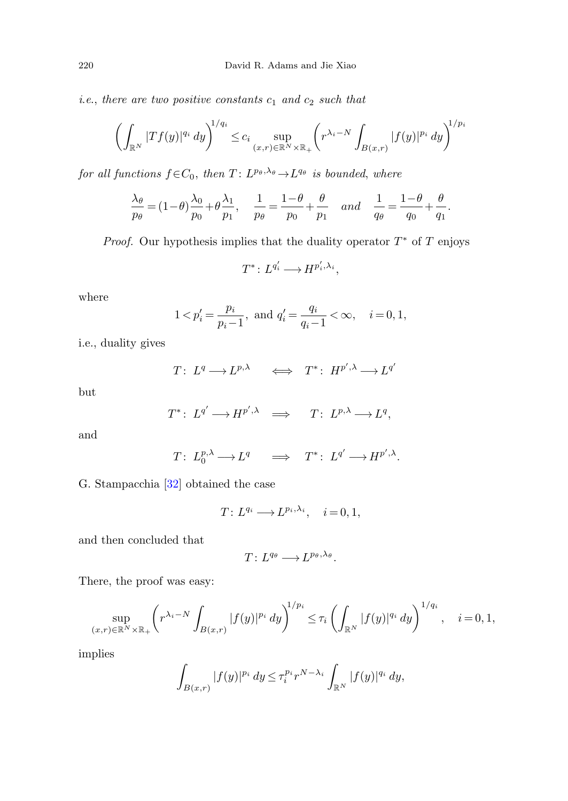i.e., there are two positive constants  $c_1$  and  $c_2$  such that

$$
\left(\int_{\mathbb{R}^N} |Tf(y)|^{q_i} dy\right)^{1/q_i} \leq c_i \sup_{(x,r)\in\mathbb{R}^N\times\mathbb{R}_+} \left(r^{\lambda_i-N} \int_{B(x,r)} |f(y)|^{p_i} dy\right)^{1/p_i}
$$

for all functions  $f \in C_0$ , then  $T: L^{p_\theta, \lambda_\theta} \to L^{q_\theta}$  is bounded, where

$$
\frac{\lambda_{\theta}}{p_{\theta}} = (1 - \theta) \frac{\lambda_0}{p_0} + \theta \frac{\lambda_1}{p_1}, \quad \frac{1}{p_{\theta}} = \frac{1 - \theta}{p_0} + \frac{\theta}{p_1} \quad and \quad \frac{1}{q_{\theta}} = \frac{1 - \theta}{q_0} + \frac{\theta}{q_1}.
$$

*Proof.* Our hypothesis implies that the duality operator  $T^*$  of  $T$  enjoys

$$
T^*: L^{q_i'} \longrightarrow H^{p_i',\lambda_i},
$$

where

$$
1 < p'_i = \frac{p_i}{p_i - 1}, \text{ and } q'_i = \frac{q_i}{q_i - 1} < \infty, \quad i = 0, 1,
$$

i.e., duality gives

$$
T\colon L^q \longrightarrow L^{p,\lambda} \qquad \Longleftrightarrow \quad T^*\colon H^{p',\lambda} \longrightarrow L^{q'}
$$

but

$$
T^* \colon L^{q'} \longrightarrow H^{p',\lambda} \quad \Longrightarrow \quad T \colon L^{p,\lambda} \longrightarrow L^q,
$$

and

$$
T\colon L_0^{p,\lambda}\longrightarrow L^q\quad\Longrightarrow\quad T^*\colon\ L^{q'}\longrightarrow H^{p',\lambda}.
$$

G. Stampacchia [[32\]](#page-29-8) obtained the case

$$
T: L^{q_i} \longrightarrow L^{p_i,\lambda_i}, \quad i = 0, 1,
$$

and then concluded that

$$
T\colon L^{q_\theta}\longrightarrow L^{p_\theta,\lambda_\theta}.
$$

There, the proof was easy:

$$
\sup_{(x,r)\in\mathbb{R}^N\times\mathbb{R}_+} \left( r^{\lambda_i - N} \int_{B(x,r)} |f(y)|^{p_i} dy \right)^{1/p_i} \leq \tau_i \left( \int_{\mathbb{R}^N} |f(y)|^{q_i} dy \right)^{1/q_i}, \quad i = 0, 1,
$$

implies

$$
\int_{B(x,r)} |f(y)|^{p_i} dy \leq \tau_i^{p_i} r^{N-\lambda_i} \int_{\mathbb{R}^N} |f(y)|^{q_i} dy,
$$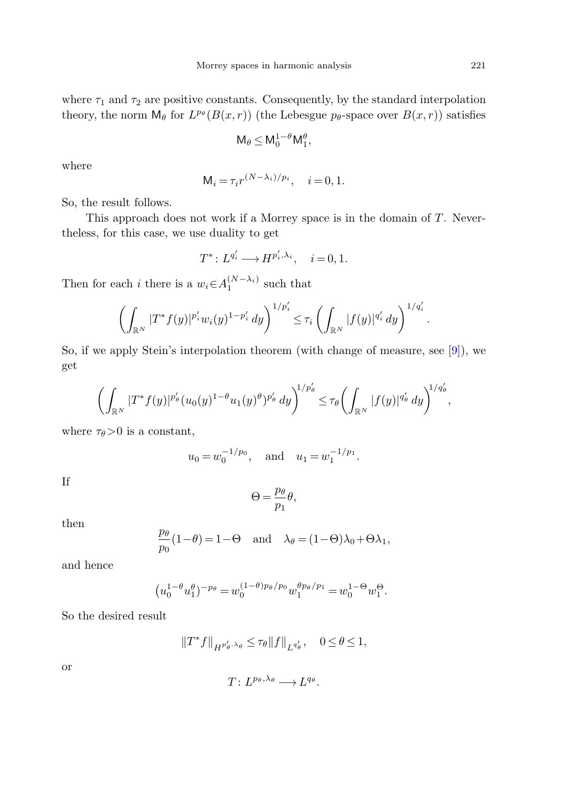where  $\tau_1$  and  $\tau_2$  are positive constants. Consequently, by the standard interpolation theory, the norm  $\mathsf{M}_{\theta}$  for  $L^{p_{\theta}}(B(x,r))$  (the Lebesgue  $p_{\theta}$ -space over  $B(x,r)$ ) satisfies

$$
\mathsf{M}_{\theta} \leq \mathsf{M}_{0}^{1-\theta} \mathsf{M}_{1}^{\theta},
$$

where

$$
\mathsf{M}_i = \tau_i r^{(N-\lambda_i)/p_i}, \quad i = 0, 1.
$$

So, the result follows.

This approach does not work if a Morrey space is in the domain of  $T$ . Nevertheless, for this case, we use duality to get

$$
T^*: L^{q_i'} \longrightarrow H^{p_i', \lambda_i}, \quad i = 0, 1.
$$

Then for each *i* there is a  $w_i \in A_1^{(N-\lambda_i)}$  such that

$$
\left(\int_{\mathbb{R}^N} |T^*f(y)|^{p'_i} w_i(y)^{1-p'_i} dy\right)^{1/p'_i} \leq \tau_i \left(\int_{\mathbb{R}^N} |f(y)|^{q'_i} dy\right)^{1/q'_i}.
$$

So, if we apply Stein's interpolation theorem (with change of measure, see [\[9](#page-28-21)]), we get

$$
\left(\int_{\mathbb{R}^N} |T^* f(y)|^{p_\theta'} (u_0(y)^{1-\theta} u_1(y)^{\theta})^{p_\theta'} dy\right)^{1/p_\theta'} \leq \tau_\theta \left(\int_{\mathbb{R}^N} |f(y)|^{q_\theta'} dy\right)^{1/q_\theta'},
$$

where  $\tau_{\theta}$ >0 is a constant,

$$
u_0 = w_0^{-1/p_0}
$$
, and  $u_1 = w_1^{-1/p_1}$ .

If

$$
\Theta = \frac{p_{\theta}}{p_1} \theta,
$$

then

$$
\frac{p_{\theta}}{p_0}(1-\theta) = 1-\Theta \text{ and } \lambda_{\theta} = (1-\Theta)\lambda_0 + \Theta \lambda_1,
$$

and hence

$$
\left(u_0^{1-\theta}u_1^{\theta}\right)^{-p_{\theta}} = w_0^{(1-\theta)p_{\theta}/p_0}w_1^{\theta p_{\theta}/p_1} = w_0^{1-\Theta}w_1^{\Theta}.
$$

So the desired result

$$
\left\|T^*f\right\|_{H^{p_\theta',\lambda_\theta}}\leq \tau_\theta\|f\|_{L^{q_\theta'}},\quad 0\leq\theta\leq 1,
$$

or

$$
T\colon L^{p_\theta,\lambda_\theta}\longrightarrow L^{q_\theta}.
$$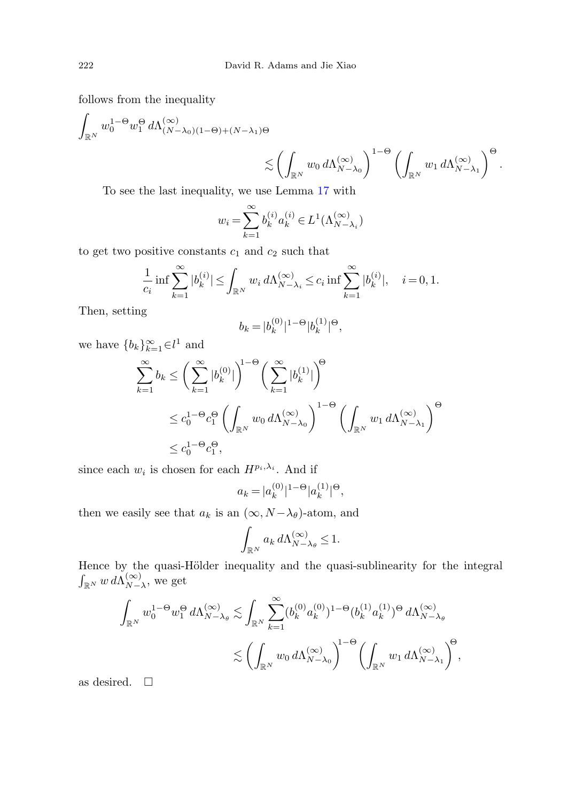follows from the inequality

$$
\int_{\mathbb{R}^N} w_0^{1-\Theta} w_1^{\Theta} d\Lambda_{(N-\lambda_0)(1-\Theta)+(N-\lambda_1)\Theta}^{(\infty)} \le \left(\int_{\mathbb{R}^N} w_0 d\Lambda_{N-\lambda_0}^{(\infty)}\right)^{1-\Theta} \left(\int_{\mathbb{R}^N} w_1 d\Lambda_{N-\lambda_1}^{(\infty)}\right)^{\Theta}.
$$

To see the last inequality, we use Lemma [17](#page-18-1) with

$$
w_i = \sum_{k=1}^{\infty} b_k^{(i)} a_k^{(i)} \in L^1(\Lambda_{N-\lambda_i}^{(\infty)})
$$

to get two positive constants  $c_1$  and  $c_2$  such that

$$
\frac{1}{c_i} \inf \sum_{k=1}^{\infty} |b_k^{(i)}| \le \int_{\mathbb{R}^N} w_i \, d \Lambda_{N-\lambda_i}^{(\infty)} \le c_i \inf \sum_{k=1}^{\infty} |b_k^{(i)}|, \quad i = 0, 1.
$$

Then, setting

$$
b_k = |b_k^{(0)}|^{1-\Theta} |b_k^{(1)}|^\Theta,
$$

we have  ${b_k}_{k=1}^{\infty} \in l^1$  and

$$
\sum_{k=1}^{\infty} b_k \le \left(\sum_{k=1}^{\infty} |b_k^{(0)}|\right)^{1-\Theta} \left(\sum_{k=1}^{\infty} |b_k^{(1)}|\right)^{\Theta}
$$
  

$$
\le c_0^{1-\Theta} c_1^{\Theta} \left(\int_{\mathbb{R}^N} w_0 d\Lambda_{N-\lambda_0}^{(\infty)}\right)^{1-\Theta} \left(\int_{\mathbb{R}^N} w_1 d\Lambda_{N-\lambda_1}^{(\infty)}\right)^{\Theta}
$$
  

$$
\le c_0^{1-\Theta} c_1^{\Theta},
$$

since each  $w_i$  is chosen for each  $H^{p_i,\lambda_i}$ . And if

$$
a_k = |a_k^{(0)}|^{1-\Theta} |a_k^{(1)}|^\Theta,
$$

then we easily see that  $a_k$  is an  $(\infty, N - \lambda_\theta)$ -atom, and

$$
\int_{\mathbb{R}^N} a_k \, d\Lambda_{N-\lambda_\theta}^{(\infty)} \le 1.
$$

Hence by the quasi-Hölder inequality and the quasi-sublinearity for the integral  $\int_{\mathbb{R}^N} w \, d\Lambda_{N-\lambda}^{(\infty)}$ , we get

$$
\begin{split} \int_{\mathbb{R}^N} w_0^{1-\Theta} w_1^\Theta \, d \Lambda_{N-\lambda_\theta}^{(\infty)} \lesssim & \int_{\mathbb{R}^N} \sum_{k=1}^\infty (b_k^{(0)} a_k^{(0)})^{1-\Theta} (b_k^{(1)} a_k^{(1)})^\Theta \, d \Lambda_{N-\lambda_\theta}^{(\infty)} \\ & \lesssim \left( \int_{\mathbb{R}^N} w_0 \, d \Lambda_{N-\lambda_0}^{(\infty)} \right)^{1-\Theta} \left( \int_{\mathbb{R}^N} w_1 \, d \Lambda_{N-\lambda_1}^{(\infty)} \right)^\Theta, \end{split}
$$

as desired.  $\square$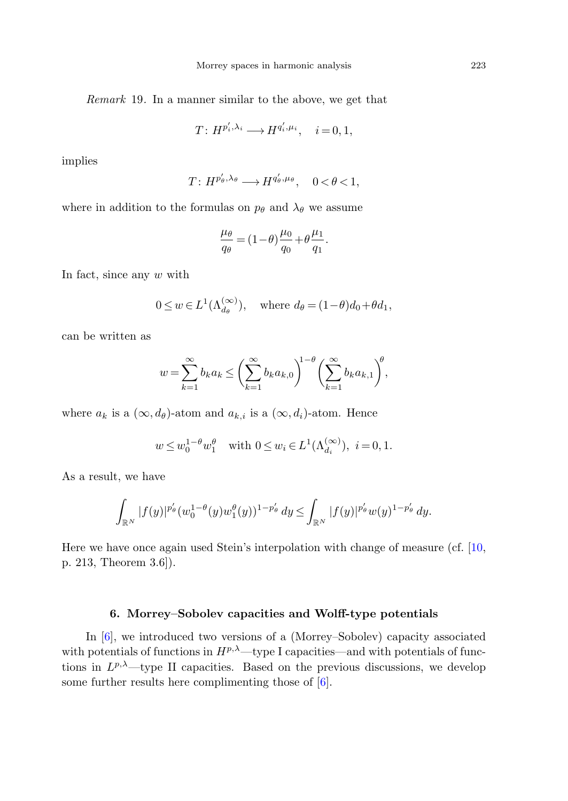Remark 19. In a manner similar to the above, we get that

$$
T: H^{p'_i, \lambda_i} \longrightarrow H^{q'_i, \mu_i}, \quad i = 0, 1,
$$

implies

$$
T: H^{p'_{\theta}, \lambda_{\theta}} \longrightarrow H^{q'_{\theta}, \mu_{\theta}}, \quad 0 < \theta < 1,
$$

where in addition to the formulas on  $p_{\theta}$  and  $\lambda_{\theta}$  we assume

$$
\frac{\mu_\theta}{q_\theta} = (1-\theta)\frac{\mu_0}{q_0} + \theta\frac{\mu_1}{q_1}.
$$

In fact, since any  $w$  with

$$
0 \le w \in L^1(\Lambda_{d_\theta}^{(\infty)}),
$$
 where  $d_\theta = (1-\theta)d_0 + \theta d_1$ ,

can be written as

$$
w = \sum_{k=1}^{\infty} b_k a_k \le \bigg(\sum_{k=1}^{\infty} b_k a_{k,0}\bigg)^{1-\theta} \bigg(\sum_{k=1}^{\infty} b_k a_{k,1}\bigg)^{\theta},
$$

where  $a_k$  is a  $(\infty, d_\theta)$ -atom and  $a_{k,i}$  is a  $(\infty, d_i)$ -atom. Hence

$$
w \leq w_0^{1-\theta} w_1^{\theta}
$$
 with  $0 \leq w_i \in L^1(\Lambda_{d_i}^{(\infty)}), i = 0, 1.$ 

As a result, we have

$$
\int_{\mathbb{R}^N} |f(y)|^{p_\theta'} (w_0^{1-\theta}(y)w_1^\theta(y))^{1-p_\theta'}\,dy \leq \int_{\mathbb{R}^N} |f(y)|^{p_\theta'} w(y)^{1-p_\theta'}\,dy.
$$

<span id="page-22-0"></span>Here we have once again used Stein's interpolation with change of measure (cf. [[10,](#page-28-1) p. 213, Theorem 3.6]).

#### **6. Morrey–Sobolev capacities and Wolff-type potentials**

In [[6\]](#page-28-8), we introduced two versions of a (Morrey–Sobolev) capacity associated with potentials of functions in  $H^{p,\lambda}$ —type I capacities—and with potentials of functions in  $L^{p,\lambda}$ —type II capacities. Based on the previous discussions, we develop some further results here complimenting those of [[6\]](#page-28-8).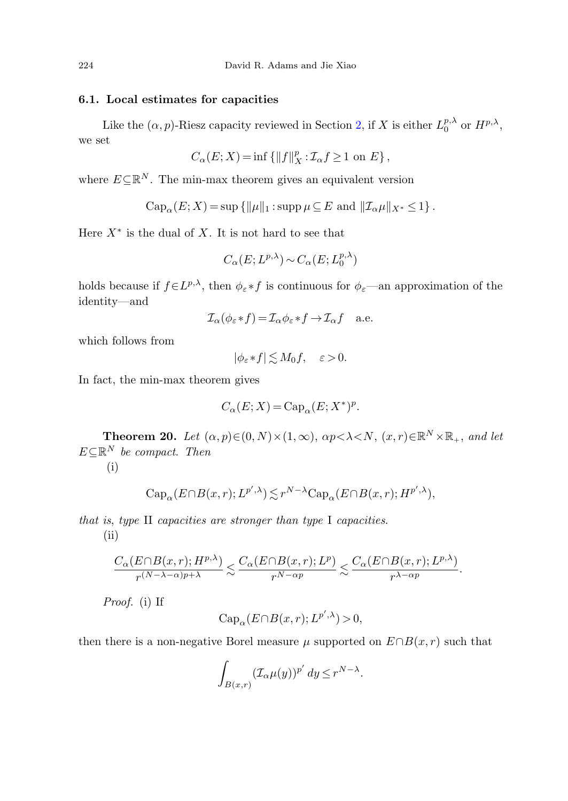#### **6.1. Local estimates for capacities**

Like the  $(\alpha, p)$ -Riesz capacity reviewed in Section [2,](#page-3-0) if X is either  $L_0^{p,\lambda}$  or  $H^{p,\lambda}$ , we set

$$
C_{\alpha}(E;X)=\inf\left\{\|f\|_{X}^{p}:\mathcal{I}_{\alpha}f\geq1\text{ on }E\right\},
$$

where  $E\subseteq\mathbb{R}^N$ . The min-max theorem gives an equivalent version

$$
\operatorname{Cap}_{\alpha}(E;X) = \sup \{ ||\mu||_1 : \operatorname{supp} \mu \subseteq E \text{ and } ||\mathcal{I}_{\alpha}\mu||_{X^*} \le 1 \}.
$$

Here  $X^*$  is the dual of X. It is not hard to see that

$$
C_{\alpha}(E; L^{p,\lambda}) \sim C_{\alpha}(E; L^{p,\lambda}_0)
$$

holds because if  $f \in L^{p,\lambda}$ , then  $\phi_{\varepsilon} * f$  is continuous for  $\phi_{\varepsilon}$ —an approximation of the identity—and

$$
\mathcal{I}_{\alpha}(\phi_{\varepsilon}*f) = \mathcal{I}_{\alpha}\phi_{\varepsilon}*f \to \mathcal{I}_{\alpha}f \quad \text{a.e.}
$$

<span id="page-23-0"></span>which follows from

$$
|\phi_{\varepsilon}*f| \lesssim M_0 f, \quad \varepsilon > 0.
$$

In fact, the min-max theorem gives

$$
C_{\alpha}(E;X) = \text{Cap}_{\alpha}(E;X^*)^p.
$$

**Theorem 20.** Let  $(\alpha, p) \in (0, N) \times (1, \infty)$ ,  $\alpha p \lt \lambda \lt N$ ,  $(x, r) \in \mathbb{R}^N \times \mathbb{R}_+$ , and let  $E \subseteq \mathbb{R}^N$  be compact. Then

(i)

$$
\operatorname{Cap}_{\alpha}(E \cap B(x,r); L^{p',\lambda}) \lesssim r^{N-\lambda} \operatorname{Cap}_{\alpha}(E \cap B(x,r); H^{p',\lambda}),
$$

that is, type II capacities are stronger than type I capacities.  $(ii)$ 

$$
\frac{C_\alpha(E\cap B(x,r);H^{p,\lambda})}{r^{(N-\lambda-\alpha)p+\lambda}}\lesssim \frac{C_\alpha(E\cap B(x,r);L^p)}{r^{N-\alpha p}}\lesssim \frac{C_\alpha(E\cap B(x,r);L^{p,\lambda})}{r^{\lambda-\alpha p}}.
$$

Proof. (i) If

$$
\operatorname{Cap}_{\alpha}(E \cap B(x,r); L^{p',\lambda}) > 0,
$$

then there is a non-negative Borel measure  $\mu$  supported on  $E \cap B(x, r)$  such that

$$
\int_{B(x,r)} (\mathcal{I}_{\alpha}\mu(y))^{p'} dy \leq r^{N-\lambda}.
$$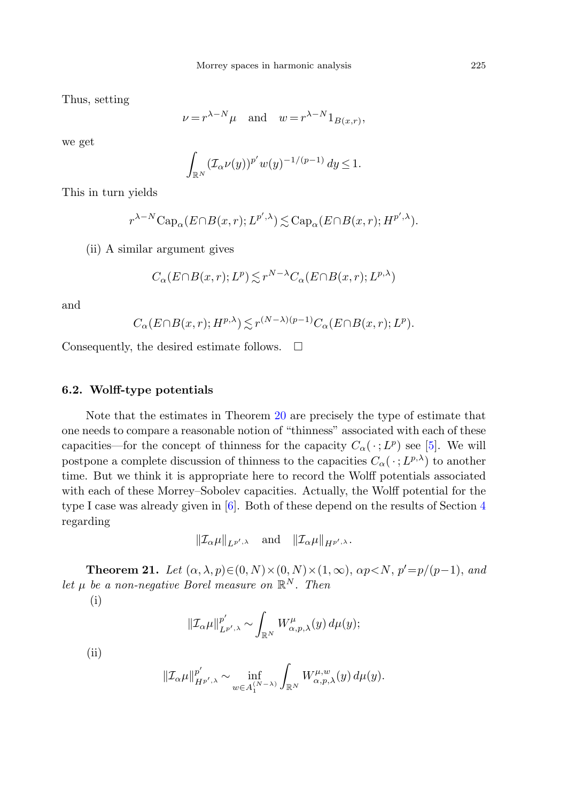Thus, setting

$$
\nu = r^{\lambda - N} \mu
$$
 and  $w = r^{\lambda - N} 1_{B(x,r)}$ ,

we get

$$
\int_{\mathbb{R}^N} (\mathcal{I}_\alpha \nu(y))^{p'} w(y)^{-1/(p-1)} dy \le 1.
$$

This in turn yields

$$
r^{\lambda-N}\mathrm{Cap}_{\alpha}(E \cap B(x,r); L^{p',\lambda}) \lesssim \mathrm{Cap}_{\alpha}(E \cap B(x,r); H^{p',\lambda}).
$$

(ii) A similar argument gives

$$
C_{\alpha}(E \cap B(x,r); L^{p}) \lesssim r^{N-\lambda} C_{\alpha}(E \cap B(x,r); L^{p,\lambda})
$$

and

$$
C_{\alpha}(E \cap B(x,r); H^{p,\lambda}) \lesssim r^{(N-\lambda)(p-1)} C_{\alpha}(E \cap B(x,r); L^p).
$$

Consequently, the desired estimate follows.  $\Box$ 

## **6.2. Wolff-type potentials**

<span id="page-24-0"></span>Note that the estimates in Theorem [20](#page-23-0) are precisely the type of estimate that one needs to compare a reasonable notion of "thinness" associated with each of these capacities—for the concept of thinness for the capacity  $C_{\alpha}(\cdot;L^p)$  see [[5\]](#page-28-17). We will postpone a complete discussion of thinness to the capacities  $C_{\alpha}(\cdot;L^{p,\lambda})$  to another time. But we think it is appropriate here to record the Wolff potentials associated with each of these Morrey–Sobolev capacities. Actually, the Wolff potential for the type I case was already given in [\[6](#page-28-8)]. Both of these depend on the results of Section [4](#page-12-0) regarding

$$
\|\mathcal{I}_{\alpha}\mu\|_{L^{p',\lambda}} \quad \text{and} \quad \|\mathcal{I}_{\alpha}\mu\|_{H^{p',\lambda}}.
$$

**Theorem 21.** Let  $(\alpha, \lambda, p) \in (0, N) \times (0, N) \times (1, \infty)$ ,  $\alpha p \lt N$ ,  $p' = p/(p-1)$ , and let  $\mu$  be a non-negative Borel measure on  $\mathbb{R}^N$ . Then

(i)

$$
\|\mathcal{I}_{\alpha}\mu\|_{L^{p',\lambda}}^{p'} \sim \int_{\mathbb{R}^N} W_{\alpha,p,\lambda}^{\mu}(y) d\mu(y);
$$

(ii)

$$
\|\mathcal{I}_{\alpha}\mu\|_{H^{p',\lambda}}^{p'} \sim \inf_{w \in A_1^{(N-\lambda)}} \int_{\mathbb{R}^N} W_{\alpha,p,\lambda}^{\mu,w}(y) d\mu(y).
$$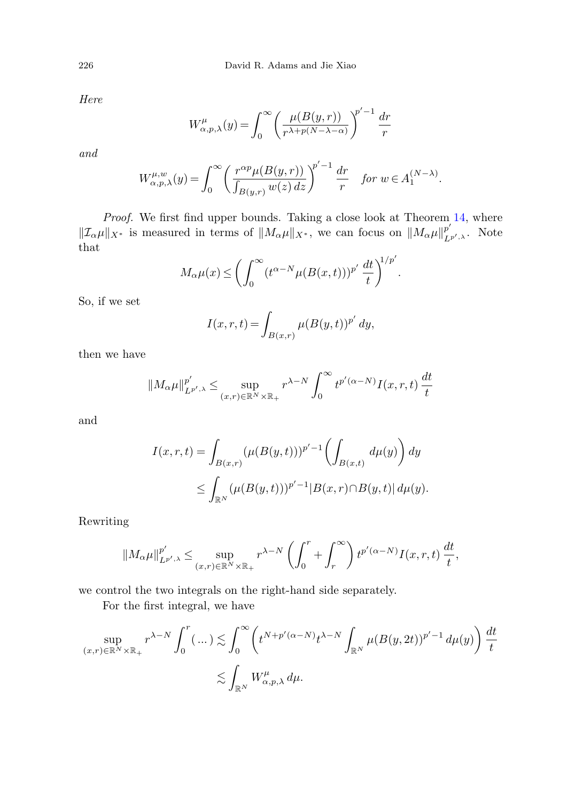Here

$$
W_{\alpha,p,\lambda}^{\mu}(y) = \int_0^{\infty} \left( \frac{\mu(B(y,r))}{r^{\lambda+p(N-\lambda-\alpha)}} \right)^{p'-1} \frac{dr}{r}
$$

and

$$
W_{\alpha,p,\lambda}^{\mu,w}(y) = \int_0^\infty \left(\frac{r^{\alpha p} \mu(B(y,r))}{\int_{B(y,r)} w(z) dz}\right)^{p'-1} \frac{dr}{r} \quad \text{for } w \in A_1^{(N-\lambda)}.
$$

Proof. We first find upper bounds. Taking a close look at Theorem [14,](#page-14-0) where  $||\mathcal{I}_{\alpha}\mu||_{X^*}$  is measured in terms of  $||M_{\alpha}\mu||_{X^*}$ , we can focus on  $||M_{\alpha}\mu||_{L^{p',\lambda}}^{p'}$ . Note that

$$
M_{\alpha}\mu(x) \le \left(\int_0^{\infty} (t^{\alpha-N}\mu(B(x,t)))^{p'}\,\frac{dt}{t}\right)^{1/p'}.
$$

So, if we set

$$
I(x, r, t) = \int_{B(x, r)} \mu(B(y, t))^{p'} dy,
$$

then we have

$$
||M_{\alpha}\mu||_{L^{p',\lambda}}^{p'} \leq \sup_{(x,r)\in\mathbb{R}^N\times\mathbb{R}_+} r^{\lambda-N} \int_0^\infty t^{p'(\alpha-N)} I(x,r,t) \, \frac{dt}{t}
$$

and

$$
I(x,r,t) = \int_{B(x,r)} (\mu(B(y,t)))^{p'-1} \left( \int_{B(x,t)} d\mu(y) \right) dy
$$
  
 
$$
\leq \int_{\mathbb{R}^N} (\mu(B(y,t)))^{p'-1} |B(x,r) \cap B(y,t)| d\mu(y).
$$

Rewriting

$$
||M_{\alpha}\mu||_{L^{p',\lambda}}^{p'} \le \sup_{(x,r)\in\mathbb{R}^N\times\mathbb{R}_+} r^{\lambda-N} \left(\int_0^r + \int_r^\infty\right) t^{p'(\alpha-N)} I(x,r,t) \frac{dt}{t},
$$

we control the two integrals on the right-hand side separately.

For the first integral, we have

$$
\sup_{(x,r)\in\mathbb{R}^N\times\mathbb{R}_+} r^{\lambda-N} \int_0^r (\dots) \lesssim \int_0^\infty \left( t^{N+p'(\alpha-N)} t^{\lambda-N} \int_{\mathbb{R}^N} \mu(B(y,2t))^{p'-1} d\mu(y) \right) \frac{dt}{t}
$$

$$
\lesssim \int_{\mathbb{R}^N} W_{\alpha,p,\lambda}^\mu d\mu.
$$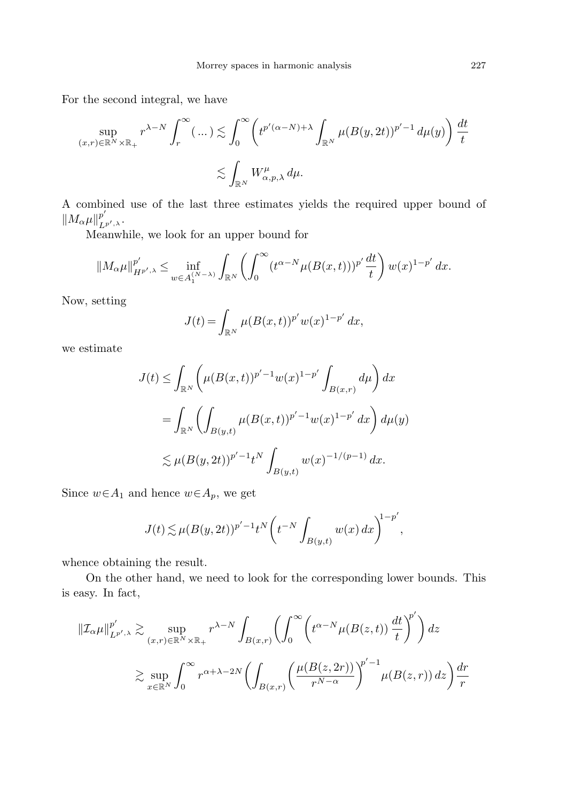For the second integral, we have

$$
\sup_{(x,r)\in\mathbb{R}^N\times\mathbb{R}_+} r^{\lambda-N}\int_r^\infty(\,\ldots\,)\lesssim \int_0^\infty \left(t^{p'(\alpha-N)+\lambda}\int_{\mathbb{R}^N}\mu(B(y,2t))^{p'-1}\,d\mu(y)\right)\frac{dt}{t}
$$

$$
\lesssim \int_{\mathbb{R}^N}W_{\alpha,p,\lambda}^\mu\,d\mu.
$$

A combined use of the last three estimates yields the required upper bound of  $||M_{\alpha}\mu||_{L^{p',\lambda}}^{p'}.$ 

Meanwhile, we look for an upper bound for

$$
||M_{\alpha}\mu||_{H^{p',\lambda}}^{p'} \le \inf_{w \in A_1^{(N-\lambda)}} \int_{\mathbb{R}^N} \left( \int_0^{\infty} (t^{\alpha-N} \mu(B(x,t)))^{p'} \frac{dt}{t} \right) w(x)^{1-p'} dx.
$$

Now, setting

$$
J(t) = \int_{\mathbb{R}^N} \mu(B(x,t))^{p'} w(x)^{1-p'} dx,
$$

we estimate

$$
J(t) \leq \int_{\mathbb{R}^N} \left( \mu(B(x,t))^{p'-1} w(x)^{1-p'} \int_{B(x,r)} d\mu \right) dx
$$
  
= 
$$
\int_{\mathbb{R}^N} \left( \int_{B(y,t)} \mu(B(x,t))^{p'-1} w(x)^{1-p'} dx \right) d\mu(y)
$$
  

$$
\lesssim \mu(B(y,2t))^{p'-1} t^N \int_{B(y,t)} w(x)^{-1/(p-1)} dx.
$$

Since  $w \in A_1$  and hence  $w \in A_p$ , we get

$$
J(t) \lesssim \mu(B(y, 2t))^{p'-1} t^N \left( t^{-N} \int_{B(y,t)} w(x) \, dx \right)^{1-p'},
$$

whence obtaining the result.

On the other hand, we need to look for the corresponding lower bounds. This is easy. In fact,

$$
\begin{split} \|\mathcal{I}_{\alpha}\mu\|_{L^{p',\lambda}}^{p'} &\gtrsim \sup_{(x,r)\in\mathbb{R}^N\times\mathbb{R}_+} r^{\lambda-N} \int_{B(x,r)} \left( \int_0^\infty \left( t^{\alpha-N} \mu(B(z,t)) \, \frac{dt}{t} \right)^{\!p'} \right) dz \\ &\gtrsim \sup_{x\in\mathbb{R}^N} \int_0^\infty r^{\alpha+\lambda-2N} \bigg( \int_{B(x,r)} \left( \frac{\mu(B(z,2r))}{r^{N-\alpha}} \right)^{\!p'-1} \mu(B(z,r)) \, dz \bigg) \frac{dr}{r} \end{split}
$$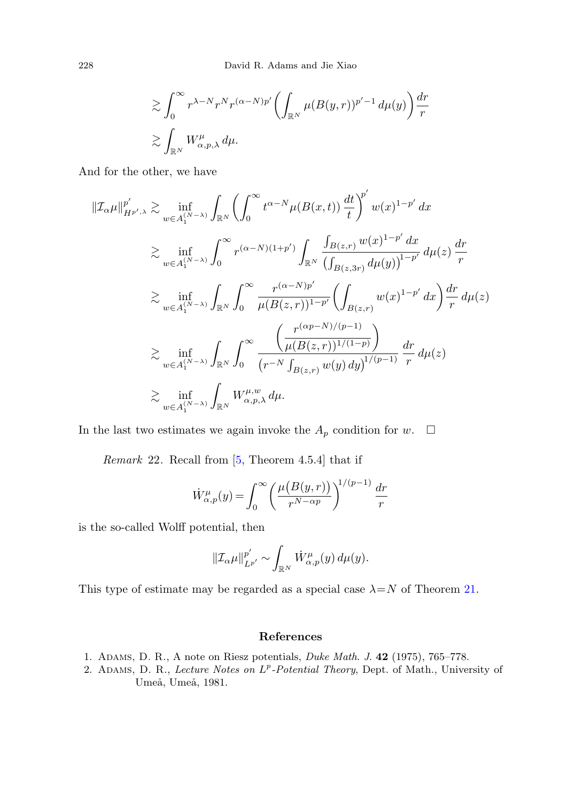$$
\begin{split} &\gtrsim \int_0^\infty r^{\lambda-N} r^N r^{(\alpha-N)p'} \biggl(\int_{\mathbb{R}^N} \mu(B(y,r))^{p'-1}\, d\mu(y)\biggr) \frac{dr}{r}\\ &\gtrsim \int_{\mathbb{R}^N} W_{\alpha,p,\lambda}^\mu\, d\mu. \end{split}
$$

And for the other, we have

$$
\begin{split} \|\mathcal{I}_{\alpha}\mu\|^{p'}_{H^{p',\lambda}} &\gtrsim \inf_{w\in A_1^{(N-\lambda)}} \int_{\mathbb{R}^N} \left( \int_0^\infty t^{\alpha-N} \mu(B(x,t)) \, \frac{dt}{t} \right)^{p'} w(x)^{1-p'} \, dx \\ &\gtrsim \inf_{w\in A_1^{(N-\lambda)}} \int_0^\infty r^{(\alpha-N)(1+p')} \int_{\mathbb{R}^N} \frac{\int_{B(z,r)} w(x)^{1-p'} \, dx}{\left( \int_{B(z,3r)} d\mu(y) \right)^{1-p'}} \, d\mu(z) \, \frac{dr}{r} \\ &\gtrsim \inf_{w\in A_1^{(N-\lambda)}} \int_{\mathbb{R}^N} \int_0^\infty \frac{r^{(\alpha-N)p'}}{\mu(B(z,r))^{1-p'}} \left( \int_{B(z,r)} w(x)^{1-p'} \, dx \right) \frac{dr}{r} \, d\mu(z) \\ &\gtrsim \inf_{w\in A_1^{(N-\lambda)}} \int_{\mathbb{R}^N} \int_0^\infty \frac{\left( \frac{r^{(\alpha p-N)/(p-1)}}{\mu(B(z,r))^{1/(1-p)}} \right)}{\left( r^{-N} \int_{B(z,r)} w(y) \, dy \right)^{1/(p-1)}} \frac{dr}{r} \, d\mu(z) \\ &\gtrsim \inf_{w\in A_1^{(N-\lambda)}} \int_{\mathbb{R}^N} W_{\alpha,p,\lambda}^{\mu,w} \, d\mu. \end{split}
$$

In the last two estimates we again invoke the  $A_p$  condition for  $w$ .  $\Box$ 

Remark 22. Recall from [\[5](#page-28-17), Theorem 4.5.4] that if

$$
\dot{W}^{\mu}_{\alpha,p}(y) = \int_0^\infty \left(\frac{\mu(B(y,r))}{r^{N-\alpha p}}\right)^{1/(p-1)} \frac{dr}{r}
$$

<span id="page-27-0"></span>is the so-called Wolff potential, then

$$
\|\mathcal{I}_{\alpha}\mu\|_{L^{p'}}^{p'} \sim \int_{\mathbb{R}^N} \dot{W}_{\alpha,p}^{\mu}(y) d\mu(y).
$$

<span id="page-27-1"></span>This type of estimate may be regarded as a special case  $\lambda = N$  of Theorem [21.](#page-24-0)

#### **References**

- 1. Adams, D. R., A note on Riesz potentials, Duke Math. J. **42** (1975), 765–778.
- 2. ADAMS, D. R., Lecture Notes on  $L^p$ -Potential Theory, Dept. of Math., University of Umeå, Umeå, 1981.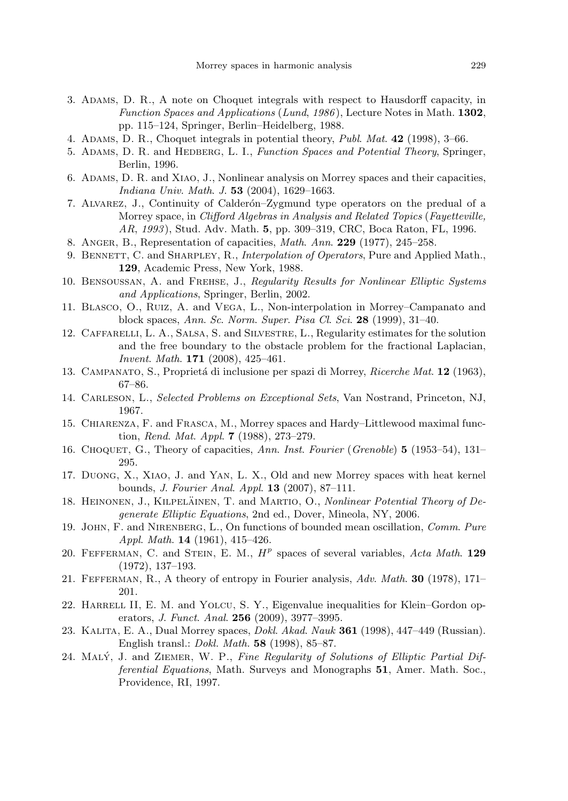- <span id="page-28-17"></span><span id="page-28-14"></span><span id="page-28-8"></span><span id="page-28-5"></span><span id="page-28-0"></span>3. Adams, D. R., A note on Choquet integrals with respect to Hausdorff capacity, in Function Spaces and Applications (Lund, 1986 ), Lecture Notes in Math. **1302**, pp. 115–124, Springer, Berlin–Heidelberg, 1988.
- <span id="page-28-15"></span>4. Adams, D. R., Choquet integrals in potential theory, Publ. Mat. **42** (1998), 3–66.
- <span id="page-28-21"></span>5. Adams, D. R. and Hedberg, L. I., Function Spaces and Potential Theory, Springer, Berlin, 1996.
- <span id="page-28-1"></span>6. Adams, D. R. and Xiao, J., Nonlinear analysis on Morrey spaces and their capacities, Indiana Univ. Math. J. **53** (2004), 1629–1663.
- <span id="page-28-7"></span>7. Alvarez, J., Continuity of Calder´on–Zygmund type operators on the predual of a Morrey space, in Clifford Algebras in Analysis and Related Topics (Fayetteville, AR, 1993 ), Stud. Adv. Math. **5**, pp. 309–319, CRC, Boca Raton, FL, 1996.
- <span id="page-28-18"></span>8. Anger, B., Representation of capacities, Math. Ann. **229** (1977), 245–258.
- 9. BENNETT, C. and SHARPLEY, R., Interpolation of Operators, Pure and Applied Math., **129**, Academic Press, New York, 1988.
- <span id="page-28-12"></span><span id="page-28-2"></span>10. Bensoussan, A. and Frehse, J., Regularity Results for Nonlinear Elliptic Systems and Applications, Springer, Berlin, 2002.
- <span id="page-28-9"></span>11. Blasco, O., Ruiz, A. and Vega, L., Non-interpolation in Morrey–Campanato and block spaces, Ann. Sc. Norm. Super. Pisa Cl. Sci. **28** (1999), 31–40.
- <span id="page-28-13"></span>12. Caffarelli, L. A., Salsa, S. and Silvestre, L., Regularity estimates for the solution and the free boundary to the obstacle problem for the fractional Laplacian, Invent. Math. **171** (2008), 425–461.
- <span id="page-28-10"></span>13. Campanato, S., Propriet´a di inclusione per spazi di Morrey, Ricerche Mat. **12** (1963), 67–86.
- <span id="page-28-11"></span>14. Carleson, L., Selected Problems on Exceptional Sets, Van Nostrand, Princeton, NJ, 1967.
- <span id="page-28-3"></span>15. Chiarenza, F. and Frasca, M., Morrey spaces and Hardy–Littlewood maximal function, Rend. Mat. Appl. **7** (1988), 273–279.
- <span id="page-28-4"></span>16. Choquet, G., Theory of capacities, Ann. Inst. Fourier (Grenoble) **5** (1953–54), 131– 295.
- <span id="page-28-16"></span>17. Duong, X., Xiao, J. and Yan, L. X., Old and new Morrey spaces with heat kernel bounds, J. Fourier Anal. Appl. **13** (2007), 87–111.
- <span id="page-28-19"></span>18. HEINONEN, J., KILPELÄINEN, T. and MARTIO, O., Nonlinear Potential Theory of Degenerate Elliptic Equations, 2nd ed., Dover, Mineola, NY, 2006.
- <span id="page-28-6"></span>19. John, F. and Nirenberg, L., On functions of bounded mean oscillation, Comm. Pure Appl. Math. **14** (1961), 415–426.
- <span id="page-28-20"></span>20. FEFFERMAN, C. and STEIN, E. M.,  $H<sup>p</sup>$  spaces of several variables, Acta Math. **129** (1972), 137–193.
- 21. Fefferman, R., A theory of entropy in Fourier analysis, Adv. Math. **30** (1978), 171– 201.
- 22. HARRELL II, E. M. and YOLCU, S. Y., Eigenvalue inequalities for Klein–Gordon operators, J. Funct. Anal. **256** (2009), 3977–3995.
- 23. Kalita, E. A., Dual Morrey spaces, Dokl. Akad. Nauk **361** (1998), 447–449 (Russian). English transl.: Dokl. Math. **58** (1998), 85–87.
- 24. MALÝ, J. and ZIEMER, W. P., Fine Regularity of Solutions of Elliptic Partial Differential Equations, Math. Surveys and Monographs **51**, Amer. Math. Soc., Providence, RI, 1997.